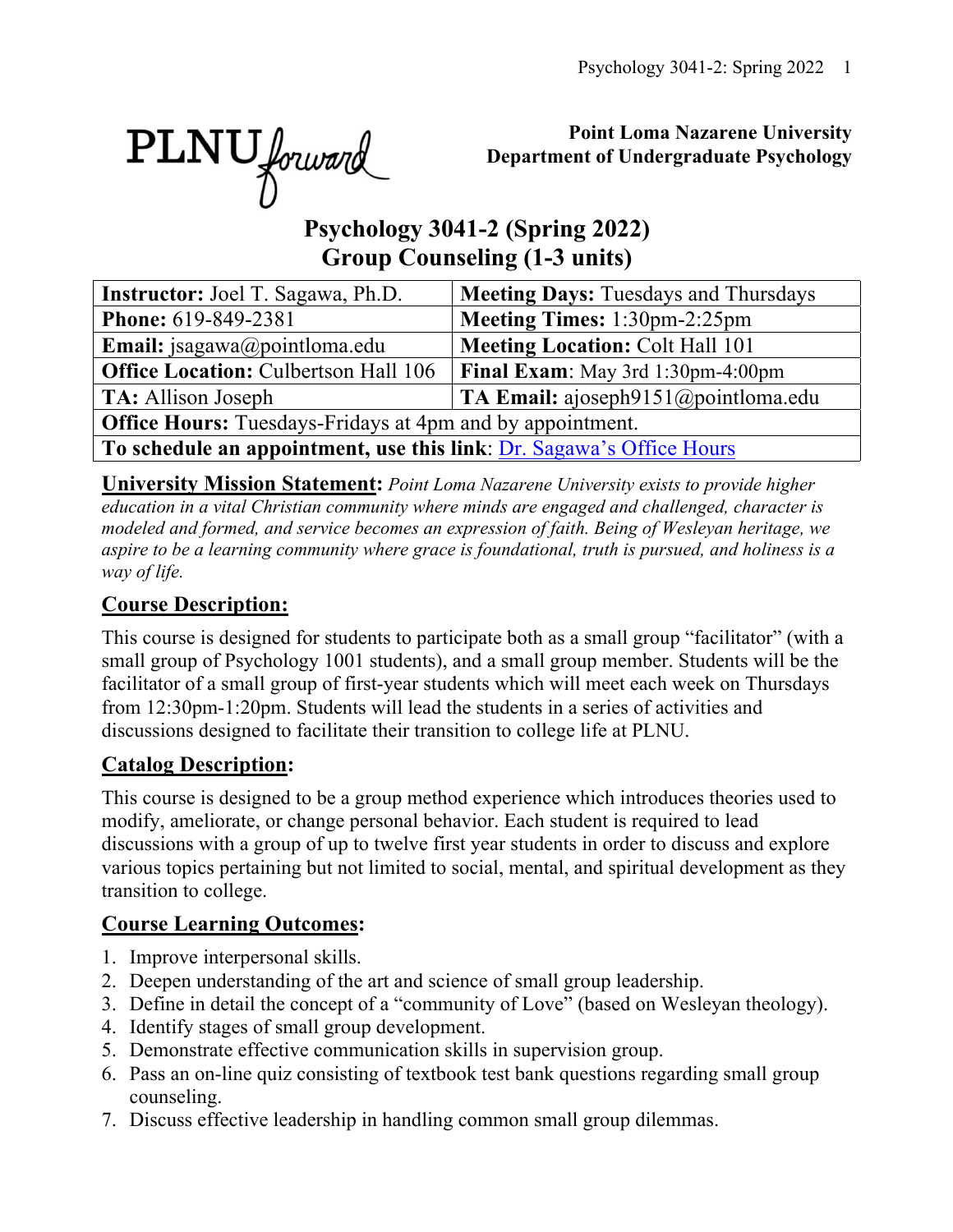PLNU forward

## **Point Loma Nazarene University Department of Undergraduate Psychology**

# **Psychology 3041-2 (Spring 2022) Group Counseling (1-3 units)**

| <b>Instructor:</b> Joel T. Sagawa, Ph.D.                             | <b>Meeting Days: Tuesdays and Thursdays</b> |  |  |  |  |  |  |
|----------------------------------------------------------------------|---------------------------------------------|--|--|--|--|--|--|
| <b>Phone:</b> 619-849-2381                                           | Meeting Times: 1:30pm-2:25pm                |  |  |  |  |  |  |
| Email: jsagawa@pointloma.edu                                         | <b>Meeting Location: Colt Hall 101</b>      |  |  |  |  |  |  |
| <b>Office Location: Culbertson Hall 106</b>                          | <b>Final Exam:</b> May 3rd 1:30pm-4:00pm    |  |  |  |  |  |  |
| <b>TA:</b> Allison Joseph                                            | TA Email: ajoseph $9151$ @pointloma.edu     |  |  |  |  |  |  |
| <b>Office Hours:</b> Tuesdays-Fridays at 4pm and by appointment.     |                                             |  |  |  |  |  |  |
| To schedule an appointment, use this link: Dr. Sagawa's Office Hours |                                             |  |  |  |  |  |  |

**University Mission Statement:** *Point Loma Nazarene University exists to provide higher education in a vital Christian community where minds are engaged and challenged, character is modeled and formed, and service becomes an expression of faith. Being of Wesleyan heritage, we aspire to be a learning community where grace is foundational, truth is pursued, and holiness is a way of life.*

## **Course Description:**

This course is designed for students to participate both as a small group "facilitator" (with a small group of Psychology 1001 students), and a small group member. Students will be the facilitator of a small group of first-year students which will meet each week on Thursdays from 12:30pm-1:20pm. Students will lead the students in a series of activities and discussions designed to facilitate their transition to college life at PLNU.

## **Catalog Description:**

This course is designed to be a group method experience which introduces theories used to modify, ameliorate, or change personal behavior. Each student is required to lead discussions with a group of up to twelve first year students in order to discuss and explore various topics pertaining but not limited to social, mental, and spiritual development as they transition to college.

## **Course Learning Outcomes:**

- 1. Improve interpersonal skills.
- 2. Deepen understanding of the art and science of small group leadership.
- 3. Define in detail the concept of a "community of Love" (based on Wesleyan theology).
- 4. Identify stages of small group development.
- 5. Demonstrate effective communication skills in supervision group.
- 6. Pass an on-line quiz consisting of textbook test bank questions regarding small group counseling.
- 7. Discuss effective leadership in handling common small group dilemmas.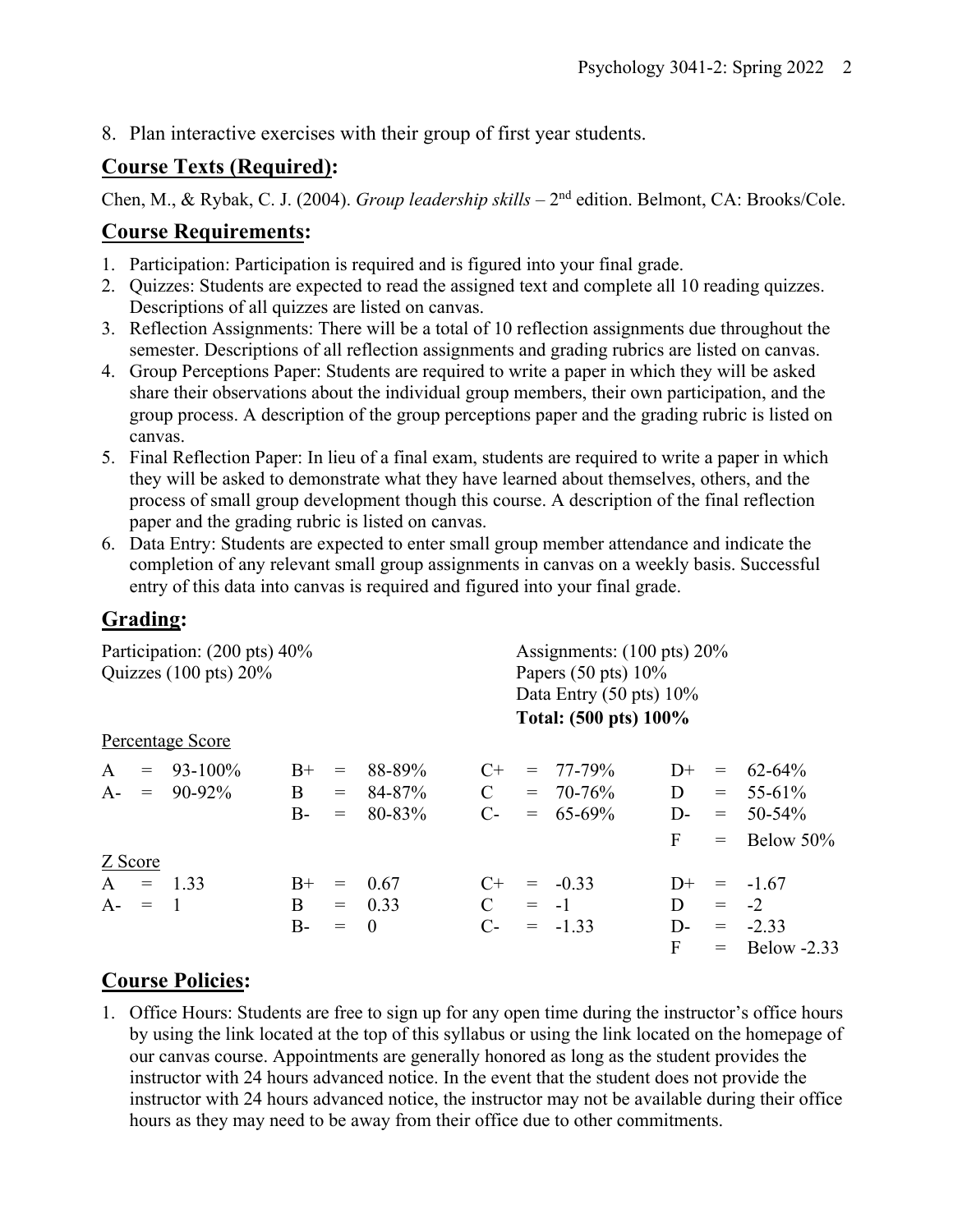8. Plan interactive exercises with their group of first year students.

### **Course Texts (Required):**

Chen, M., & Rybak, C. J. (2004). *Group leadership skills* – 2<sup>nd</sup> edition. Belmont, CA: Brooks/Cole.

### **Course Requirements:**

- 1. Participation: Participation is required and is figured into your final grade.
- 2. Quizzes: Students are expected to read the assigned text and complete all 10 reading quizzes. Descriptions of all quizzes are listed on canvas.
- 3. Reflection Assignments: There will be a total of 10 reflection assignments due throughout the semester. Descriptions of all reflection assignments and grading rubrics are listed on canvas.
- 4. Group Perceptions Paper: Students are required to write a paper in which they will be asked share their observations about the individual group members, their own participation, and the group process. A description of the group perceptions paper and the grading rubric is listed on canvas.
- 5. Final Reflection Paper: In lieu of a final exam, students are required to write a paper in which they will be asked to demonstrate what they have learned about themselves, others, and the process of small group development though this course. A description of the final reflection paper and the grading rubric is listed on canvas.
- 6. Data Entry: Students are expected to enter small group member attendance and indicate the completion of any relevant small group assignments in canvas on a weekly basis. Successful entry of this data into canvas is required and figured into your final grade.

### **Grading:**

| Participation: (200 pts) 40%<br>Quizzes $(100 \text{ pts}) 20\%$ |                                 |                    |                   |                                |                                   | Assignments: $(100 \text{ pts}) 20\%$<br>Papers $(50 \text{ pts}) 10\%$<br>Data Entry $(50 \text{ pts}) 10\%$<br>Total: (500 pts) 100% |                                               |                        |                               |                                                   |  |
|------------------------------------------------------------------|---------------------------------|--------------------|-------------------|--------------------------------|-----------------------------------|----------------------------------------------------------------------------------------------------------------------------------------|-----------------------------------------------|------------------------|-------------------------------|---------------------------------------------------|--|
| Percentage Score                                                 |                                 |                    |                   |                                |                                   |                                                                                                                                        |                                               |                        |                               |                                                   |  |
| $\mathsf{A}$                                                     | $= 93-100\%$<br>$A - = 90-92\%$ | $B+$<br>B<br>$B -$ | $=$<br>$=$<br>$=$ | 88-89%<br>84-87%<br>80-83%     | $C+$<br>$\mathbf C$<br>$C_{\tau}$ |                                                                                                                                        | $= 77 - 79\%$<br>$= 70 - 76\%$<br>$= 65-69\%$ | $D+$<br>D<br>$D-$<br>F | $\!\!\!=\!\!\!$<br>$=$<br>$=$ | 62-64%<br>$= 55-61\%$<br>$50 - 54\%$<br>Below 50% |  |
| Z Score<br>$A = 1.33$<br>$A - = 1$                               |                                 | $B+$<br>B<br>B-    | $=$<br>$=$        | - 0.67<br>$= 0.33$<br>$\theta$ | $C+$<br>$\mathbf C$<br>$C$ -      |                                                                                                                                        | $= -0.33$<br>$= -1$<br>$= -1.33$              | $D+$<br>D<br>D-<br>F   | $= -2$                        | $= -1.67$<br>$= -2.33$<br>$=$ Below -2.33         |  |

## **Course Policies:**

1. Office Hours: Students are free to sign up for any open time during the instructor's office hours by using the link located at the top of this syllabus or using the link located on the homepage of our canvas course. Appointments are generally honored as long as the student provides the instructor with 24 hours advanced notice. In the event that the student does not provide the instructor with 24 hours advanced notice, the instructor may not be available during their office hours as they may need to be away from their office due to other commitments.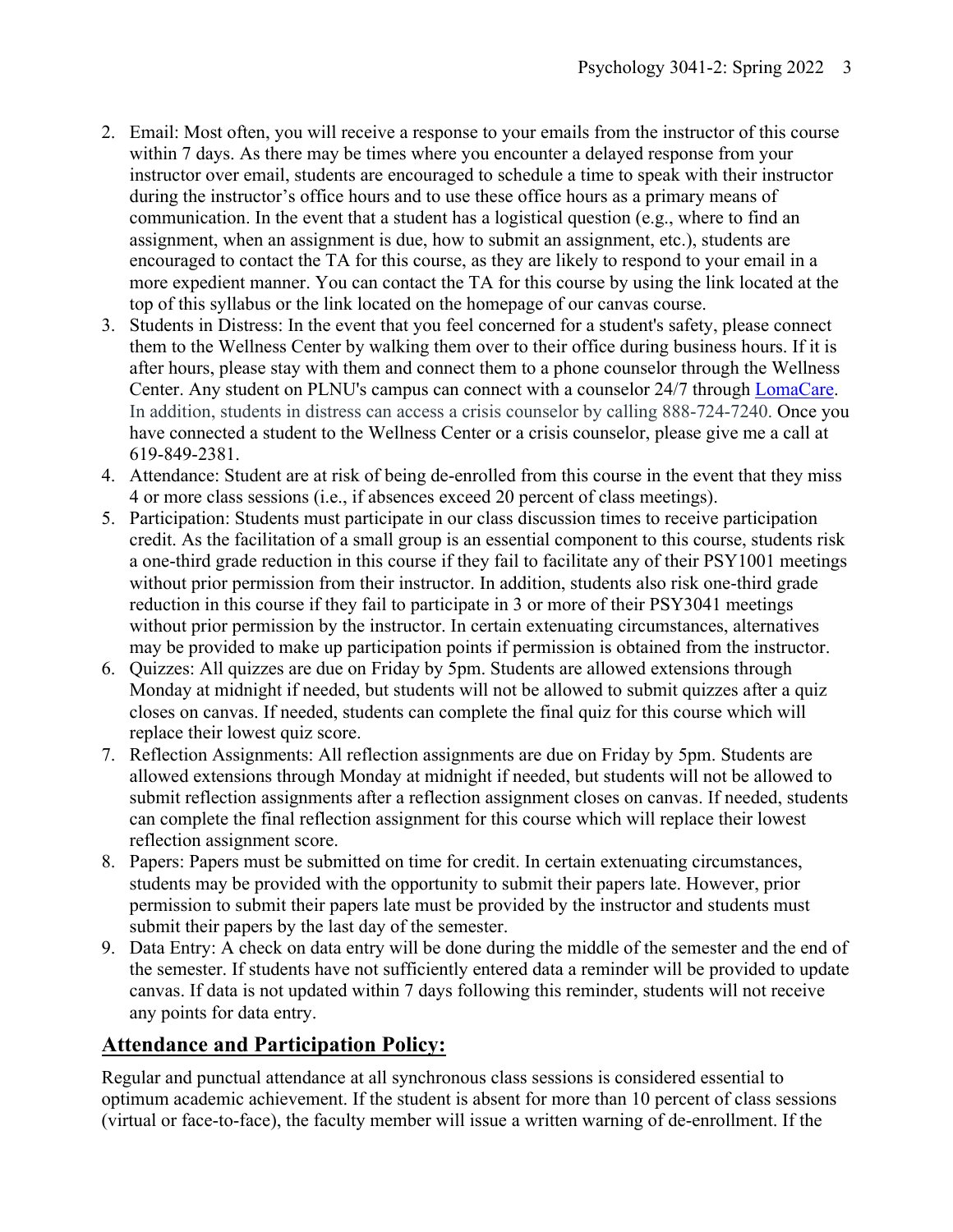- 2. Email: Most often, you will receive a response to your emails from the instructor of this course within 7 days. As there may be times where you encounter a delayed response from your instructor over email, students are encouraged to schedule a time to speak with their instructor during the instructor's office hours and to use these office hours as a primary means of communication. In the event that a student has a logistical question (e.g., where to find an assignment, when an assignment is due, how to submit an assignment, etc.), students are encouraged to contact the TA for this course, as they are likely to respond to your email in a more expedient manner. You can contact the TA for this course by using the link located at the top of this syllabus or the link located on the homepage of our canvas course.
- 3. Students in Distress: In the event that you feel concerned for a student's safety, please connect them to the Wellness Center by walking them over to their office during business hours. If it is after hours, please stay with them and connect them to a phone counselor through the Wellness Center. Any student on PLNU's campus can connect with a counselor 24/7 through LomaCare. In addition, students in distress can access a crisis counselor by calling 888-724-7240. Once you have connected a student to the Wellness Center or a crisis counselor, please give me a call at 619-849-2381.
- 4. Attendance: Student are at risk of being de-enrolled from this course in the event that they miss 4 or more class sessions (i.e., if absences exceed 20 percent of class meetings).
- 5. Participation: Students must participate in our class discussion times to receive participation credit. As the facilitation of a small group is an essential component to this course, students risk a one-third grade reduction in this course if they fail to facilitate any of their PSY1001 meetings without prior permission from their instructor. In addition, students also risk one-third grade reduction in this course if they fail to participate in 3 or more of their PSY3041 meetings without prior permission by the instructor. In certain extenuating circumstances, alternatives may be provided to make up participation points if permission is obtained from the instructor.
- 6. Quizzes: All quizzes are due on Friday by 5pm. Students are allowed extensions through Monday at midnight if needed, but students will not be allowed to submit quizzes after a quiz closes on canvas. If needed, students can complete the final quiz for this course which will replace their lowest quiz score.
- 7. Reflection Assignments: All reflection assignments are due on Friday by 5pm. Students are allowed extensions through Monday at midnight if needed, but students will not be allowed to submit reflection assignments after a reflection assignment closes on canvas. If needed, students can complete the final reflection assignment for this course which will replace their lowest reflection assignment score.
- 8. Papers: Papers must be submitted on time for credit. In certain extenuating circumstances, students may be provided with the opportunity to submit their papers late. However, prior permission to submit their papers late must be provided by the instructor and students must submit their papers by the last day of the semester.
- 9. Data Entry: A check on data entry will be done during the middle of the semester and the end of the semester. If students have not sufficiently entered data a reminder will be provided to update canvas. If data is not updated within 7 days following this reminder, students will not receive any points for data entry.

## **Attendance and Participation Policy:**

Regular and punctual attendance at all synchronous class sessions is considered essential to optimum academic achievement. If the student is absent for more than 10 percent of class sessions (virtual or face-to-face), the faculty member will issue a written warning of de-enrollment. If the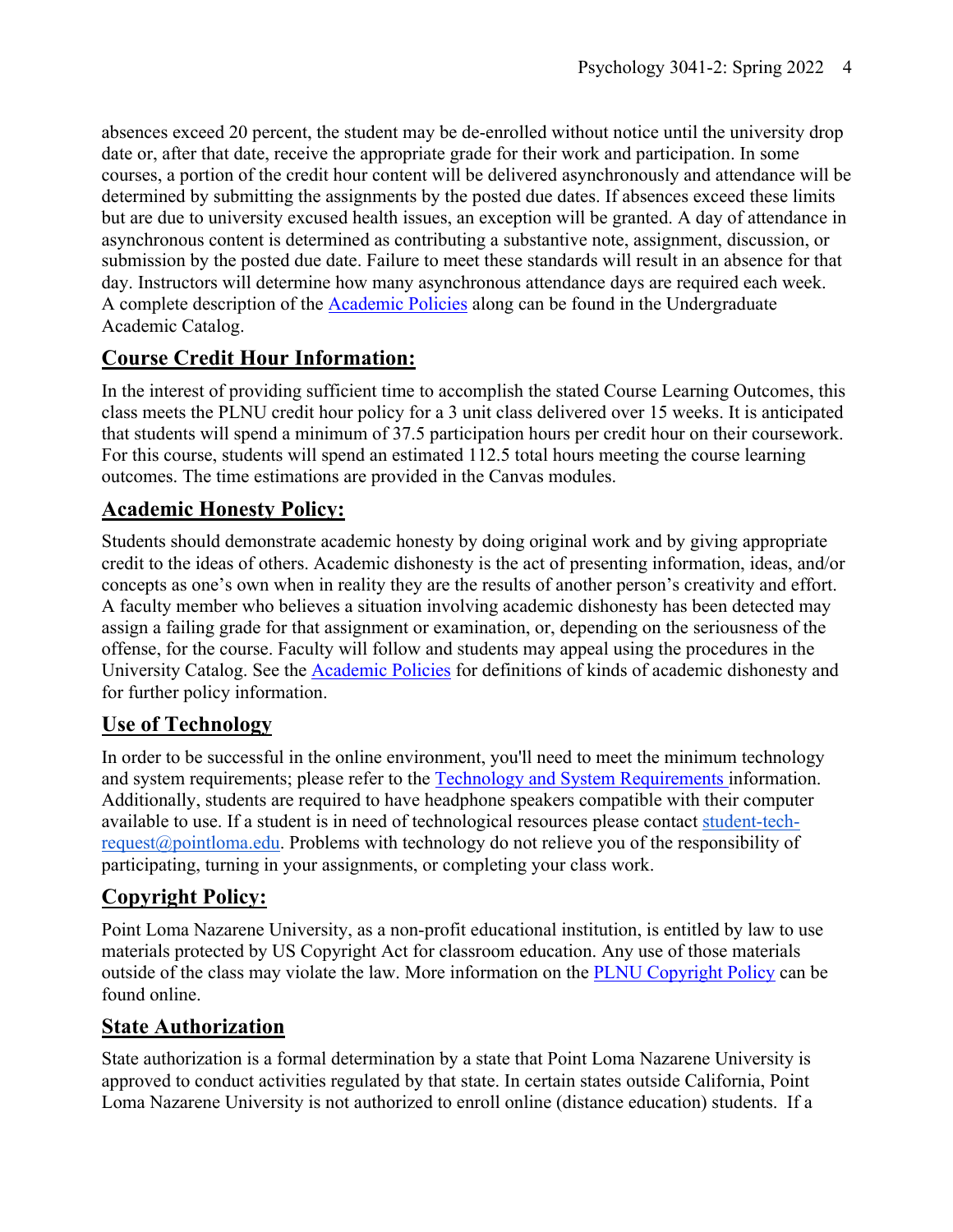absences exceed 20 percent, the student may be de-enrolled without notice until the university drop date or, after that date, receive the appropriate grade for their work and participation. In some courses, a portion of the credit hour content will be delivered asynchronously and attendance will be determined by submitting the assignments by the posted due dates. If absences exceed these limits but are due to university excused health issues, an exception will be granted. A day of attendance in asynchronous content is determined as contributing a substantive note, assignment, discussion, or submission by the posted due date. Failure to meet these standards will result in an absence for that day. Instructors will determine how many asynchronous attendance days are required each week. A complete description of the Academic Policies along can be found in the Undergraduate Academic Catalog.

## **Course Credit Hour Information:**

In the interest of providing sufficient time to accomplish the stated Course Learning Outcomes, this class meets the PLNU credit hour policy for a 3 unit class delivered over 15 weeks. It is anticipated that students will spend a minimum of 37.5 participation hours per credit hour on their coursework. For this course, students will spend an estimated 112.5 total hours meeting the course learning outcomes. The time estimations are provided in the Canvas modules.

## **Academic Honesty Policy:**

Students should demonstrate academic honesty by doing original work and by giving appropriate credit to the ideas of others. Academic dishonesty is the act of presenting information, ideas, and/or concepts as one's own when in reality they are the results of another person's creativity and effort. A faculty member who believes a situation involving academic dishonesty has been detected may assign a failing grade for that assignment or examination, or, depending on the seriousness of the offense, for the course. Faculty will follow and students may appeal using the procedures in the University Catalog. See the **Academic Policies** for definitions of kinds of academic dishonesty and for further policy information.

## **Use of Technology**

In order to be successful in the online environment, you'll need to meet the minimum technology and system requirements; please refer to the Technology and System Requirements information. Additionally, students are required to have headphone speakers compatible with their computer available to use. If a student is in need of technological resources please contact student-techrequest@pointloma.edu. Problems with technology do not relieve you of the responsibility of participating, turning in your assignments, or completing your class work.

## **Copyright Policy:**

Point Loma Nazarene University, as a non-profit educational institution, is entitled by law to use materials protected by US Copyright Act for classroom education. Any use of those materials outside of the class may violate the law. More information on the PLNU Copyright Policy can be found online.

### **State Authorization**

State authorization is a formal determination by a state that Point Loma Nazarene University is approved to conduct activities regulated by that state. In certain states outside California, Point Loma Nazarene University is not authorized to enroll online (distance education) students. If a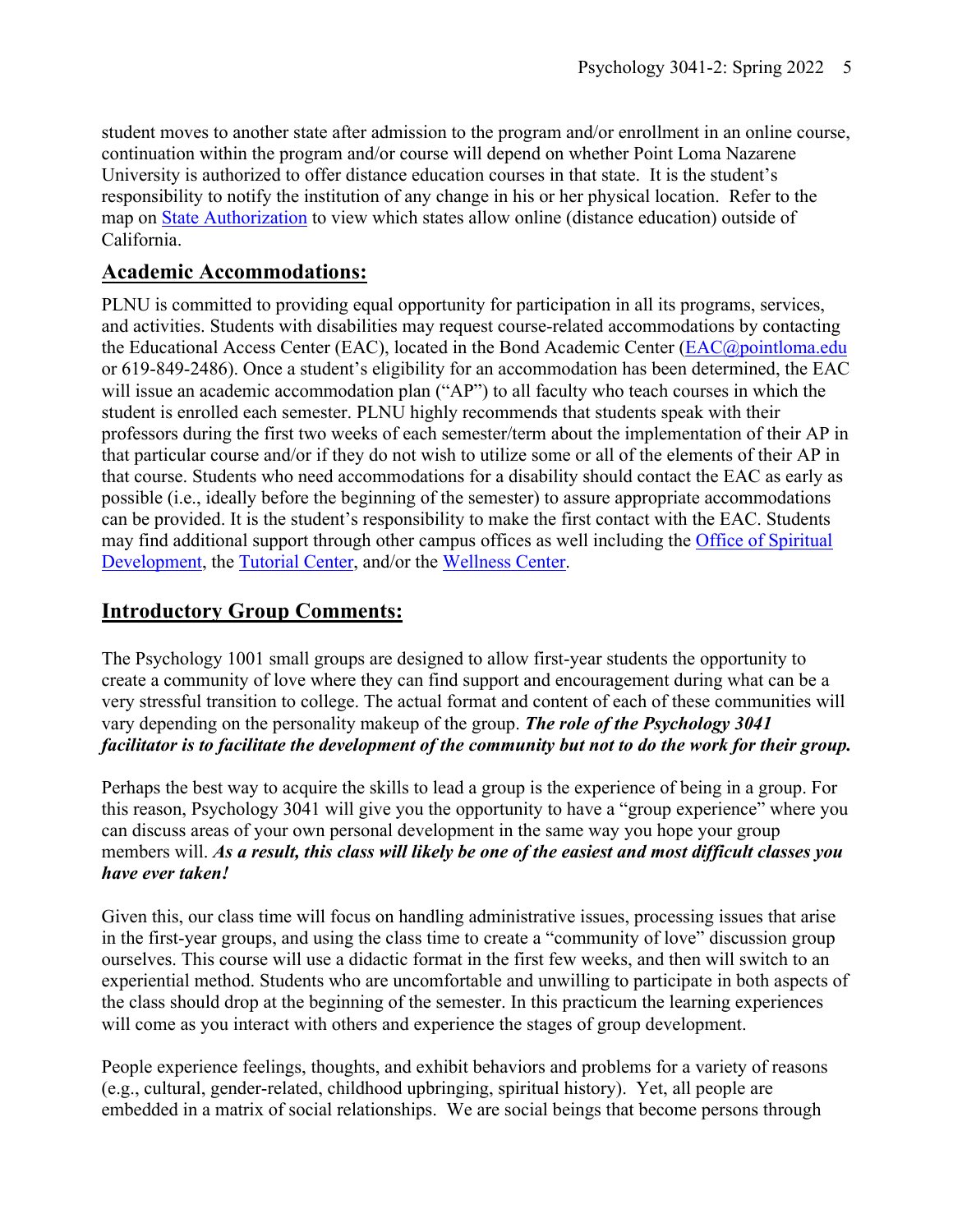student moves to another state after admission to the program and/or enrollment in an online course, continuation within the program and/or course will depend on whether Point Loma Nazarene University is authorized to offer distance education courses in that state. It is the student's responsibility to notify the institution of any change in his or her physical location. Refer to the map on State Authorization to view which states allow online (distance education) outside of California.

### **Academic Accommodations:**

PLNU is committed to providing equal opportunity for participation in all its programs, services, and activities. Students with disabilities may request course-related accommodations by contacting the Educational Access Center (EAC), located in the Bond Academic Center (EAC@pointloma.edu or 619-849-2486). Once a student's eligibility for an accommodation has been determined, the EAC will issue an academic accommodation plan ("AP") to all faculty who teach courses in which the student is enrolled each semester. PLNU highly recommends that students speak with their professors during the first two weeks of each semester/term about the implementation of their AP in that particular course and/or if they do not wish to utilize some or all of the elements of their AP in that course. Students who need accommodations for a disability should contact the EAC as early as possible (i.e., ideally before the beginning of the semester) to assure appropriate accommodations can be provided. It is the student's responsibility to make the first contact with the EAC. Students may find additional support through other campus offices as well including the Office of Spiritual Development, the Tutorial Center, and/or the Wellness Center.

## **Introductory Group Comments:**

The Psychology 1001 small groups are designed to allow first-year students the opportunity to create a community of love where they can find support and encouragement during what can be a very stressful transition to college. The actual format and content of each of these communities will vary depending on the personality makeup of the group. *The role of the Psychology 3041 facilitator is to facilitate the development of the community but not to do the work for their group.*

Perhaps the best way to acquire the skills to lead a group is the experience of being in a group. For this reason, Psychology 3041 will give you the opportunity to have a "group experience" where you can discuss areas of your own personal development in the same way you hope your group members will. *As a result, this class will likely be one of the easiest and most difficult classes you have ever taken!*

Given this, our class time will focus on handling administrative issues, processing issues that arise in the first-year groups, and using the class time to create a "community of love" discussion group ourselves. This course will use a didactic format in the first few weeks, and then will switch to an experiential method. Students who are uncomfortable and unwilling to participate in both aspects of the class should drop at the beginning of the semester. In this practicum the learning experiences will come as you interact with others and experience the stages of group development.

People experience feelings, thoughts, and exhibit behaviors and problems for a variety of reasons (e.g., cultural, gender-related, childhood upbringing, spiritual history). Yet, all people are embedded in a matrix of social relationships. We are social beings that become persons through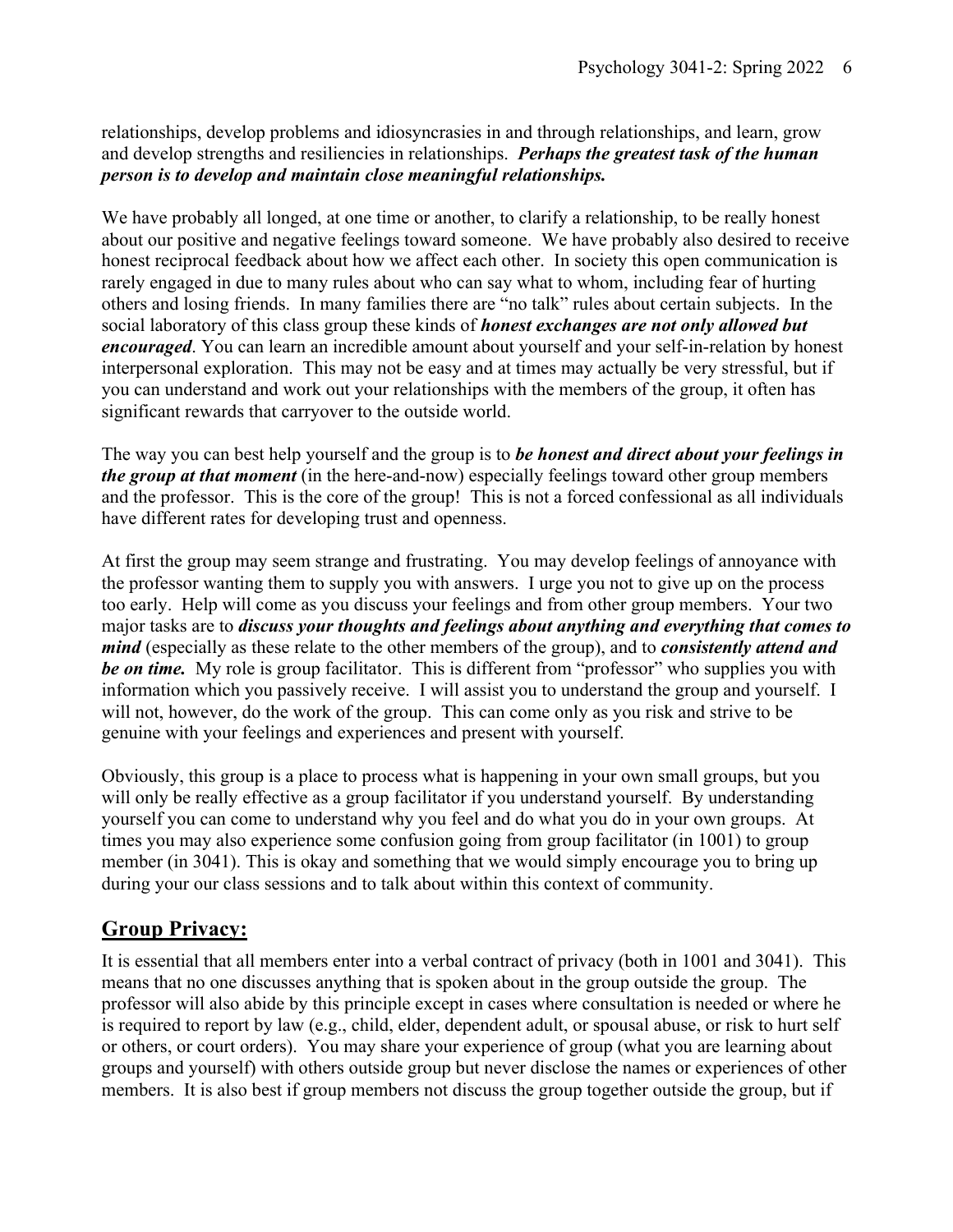relationships, develop problems and idiosyncrasies in and through relationships, and learn, grow and develop strengths and resiliencies in relationships. *Perhaps the greatest task of the human person is to develop and maintain close meaningful relationships.*

We have probably all longed, at one time or another, to clarify a relationship, to be really honest about our positive and negative feelings toward someone. We have probably also desired to receive honest reciprocal feedback about how we affect each other. In society this open communication is rarely engaged in due to many rules about who can say what to whom, including fear of hurting others and losing friends. In many families there are "no talk" rules about certain subjects. In the social laboratory of this class group these kinds of *honest exchanges are not only allowed but encouraged*. You can learn an incredible amount about yourself and your self-in-relation by honest interpersonal exploration. This may not be easy and at times may actually be very stressful, but if you can understand and work out your relationships with the members of the group, it often has significant rewards that carryover to the outside world.

The way you can best help yourself and the group is to *be honest and direct about your feelings in the group at that moment* (in the here-and-now) especially feelings toward other group members and the professor. This is the core of the group! This is not a forced confessional as all individuals have different rates for developing trust and openness.

At first the group may seem strange and frustrating. You may develop feelings of annoyance with the professor wanting them to supply you with answers. I urge you not to give up on the process too early. Help will come as you discuss your feelings and from other group members. Your two major tasks are to *discuss your thoughts and feelings about anything and everything that comes to mind* (especially as these relate to the other members of the group), and to *consistently attend and be on time.* My role is group facilitator. This is different from "professor" who supplies you with information which you passively receive. I will assist you to understand the group and yourself. I will not, however, do the work of the group. This can come only as you risk and strive to be genuine with your feelings and experiences and present with yourself.

Obviously, this group is a place to process what is happening in your own small groups, but you will only be really effective as a group facilitator if you understand yourself. By understanding yourself you can come to understand why you feel and do what you do in your own groups. At times you may also experience some confusion going from group facilitator (in 1001) to group member (in 3041). This is okay and something that we would simply encourage you to bring up during your our class sessions and to talk about within this context of community.

## **Group Privacy:**

It is essential that all members enter into a verbal contract of privacy (both in 1001 and 3041). This means that no one discusses anything that is spoken about in the group outside the group. The professor will also abide by this principle except in cases where consultation is needed or where he is required to report by law (e.g., child, elder, dependent adult, or spousal abuse, or risk to hurt self or others, or court orders). You may share your experience of group (what you are learning about groups and yourself) with others outside group but never disclose the names or experiences of other members. It is also best if group members not discuss the group together outside the group, but if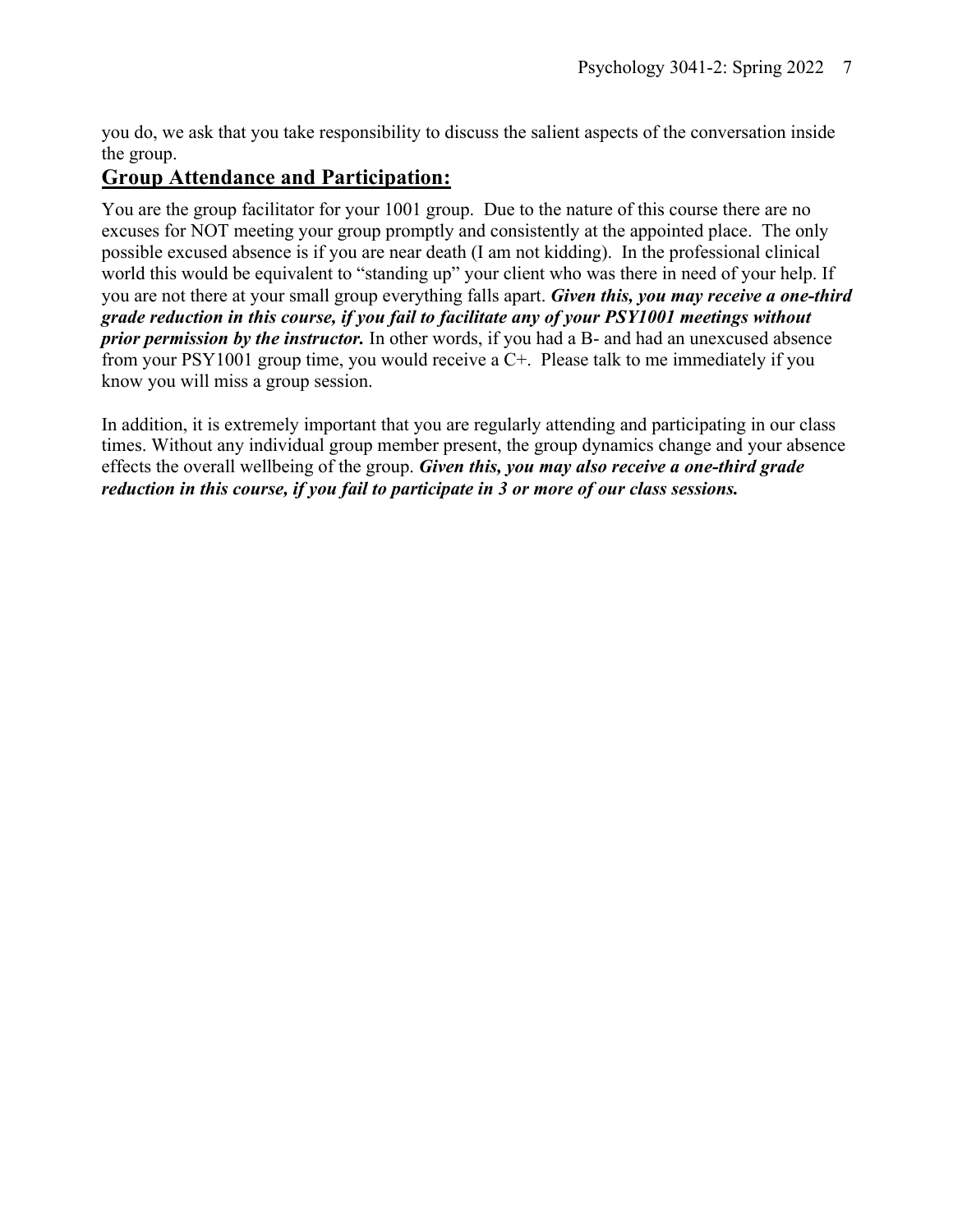you do, we ask that you take responsibility to discuss the salient aspects of the conversation inside the group.

### **Group Attendance and Participation:**

You are the group facilitator for your 1001 group. Due to the nature of this course there are no excuses for NOT meeting your group promptly and consistently at the appointed place. The only possible excused absence is if you are near death (I am not kidding). In the professional clinical world this would be equivalent to "standing up" your client who was there in need of your help. If you are not there at your small group everything falls apart. *Given this, you may receive a one-third grade reduction in this course, if you fail to facilitate any of your PSY1001 meetings without prior permission by the instructor.* In other words, if you had a B- and had an unexcused absence from your PSY1001 group time, you would receive a C+. Please talk to me immediately if you know you will miss a group session.

In addition, it is extremely important that you are regularly attending and participating in our class times. Without any individual group member present, the group dynamics change and your absence effects the overall wellbeing of the group. *Given this, you may also receive a one-third grade reduction in this course, if you fail to participate in 3 or more of our class sessions.*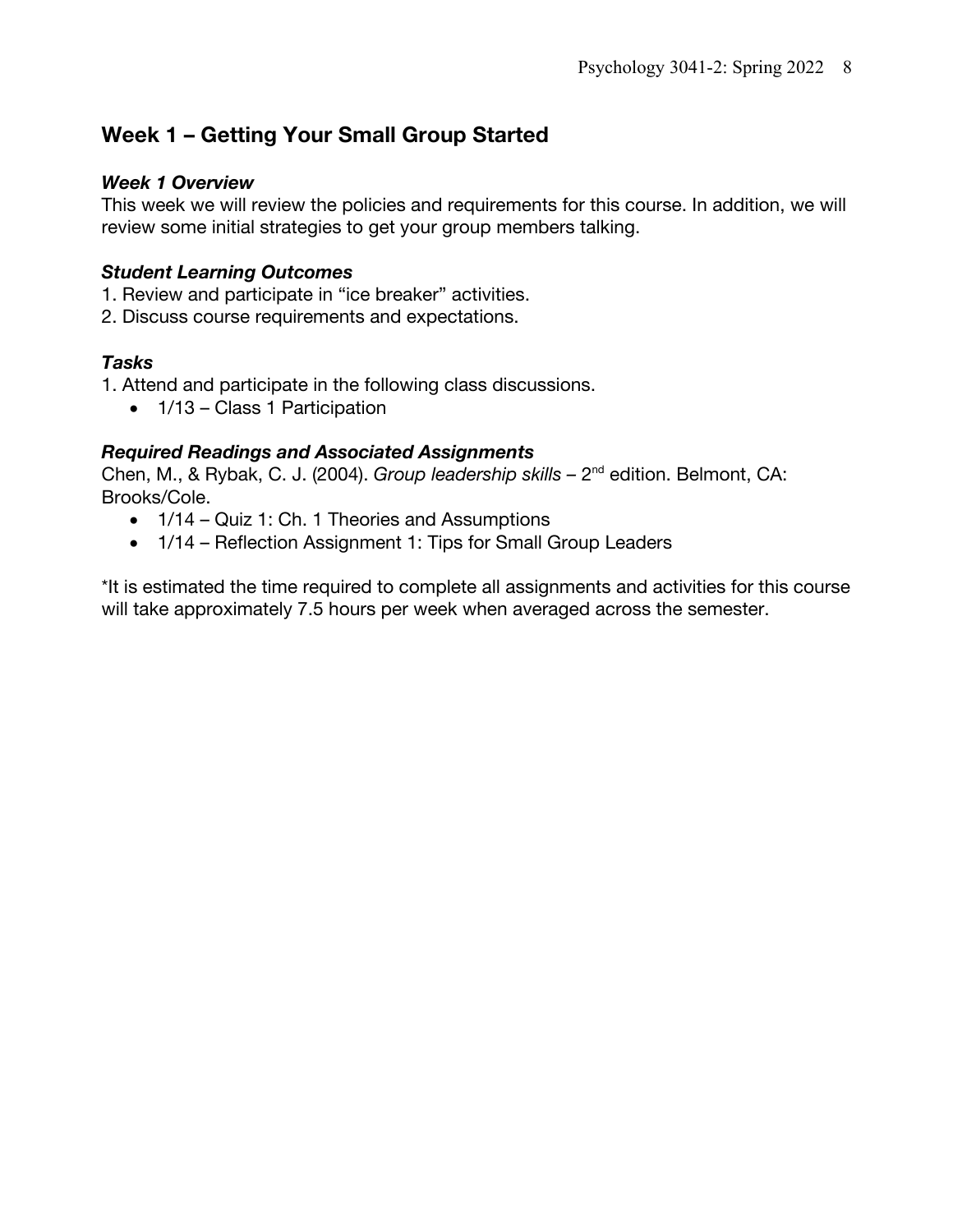## **Week 1 – Getting Your Small Group Started**

#### *Week 1 Overview*

This week we will review the policies and requirements for this course. In addition, we will review some initial strategies to get your group members talking.

### *Student Learning Outcomes*

- 1. Review and participate in "ice breaker" activities.
- 2. Discuss course requirements and expectations.

### *Tasks*

1. Attend and participate in the following class discussions.

• 1/13 – Class 1 Participation

### *Required Readings and Associated Assignments*

Chen, M., & Rybak, C. J. (2004). *Group leadership skills –* 2nd edition. Belmont, CA: Brooks/Cole.

- 1/14 Quiz 1: Ch. 1 Theories and Assumptions
- 1/14 Reflection Assignment 1: Tips for Small Group Leaders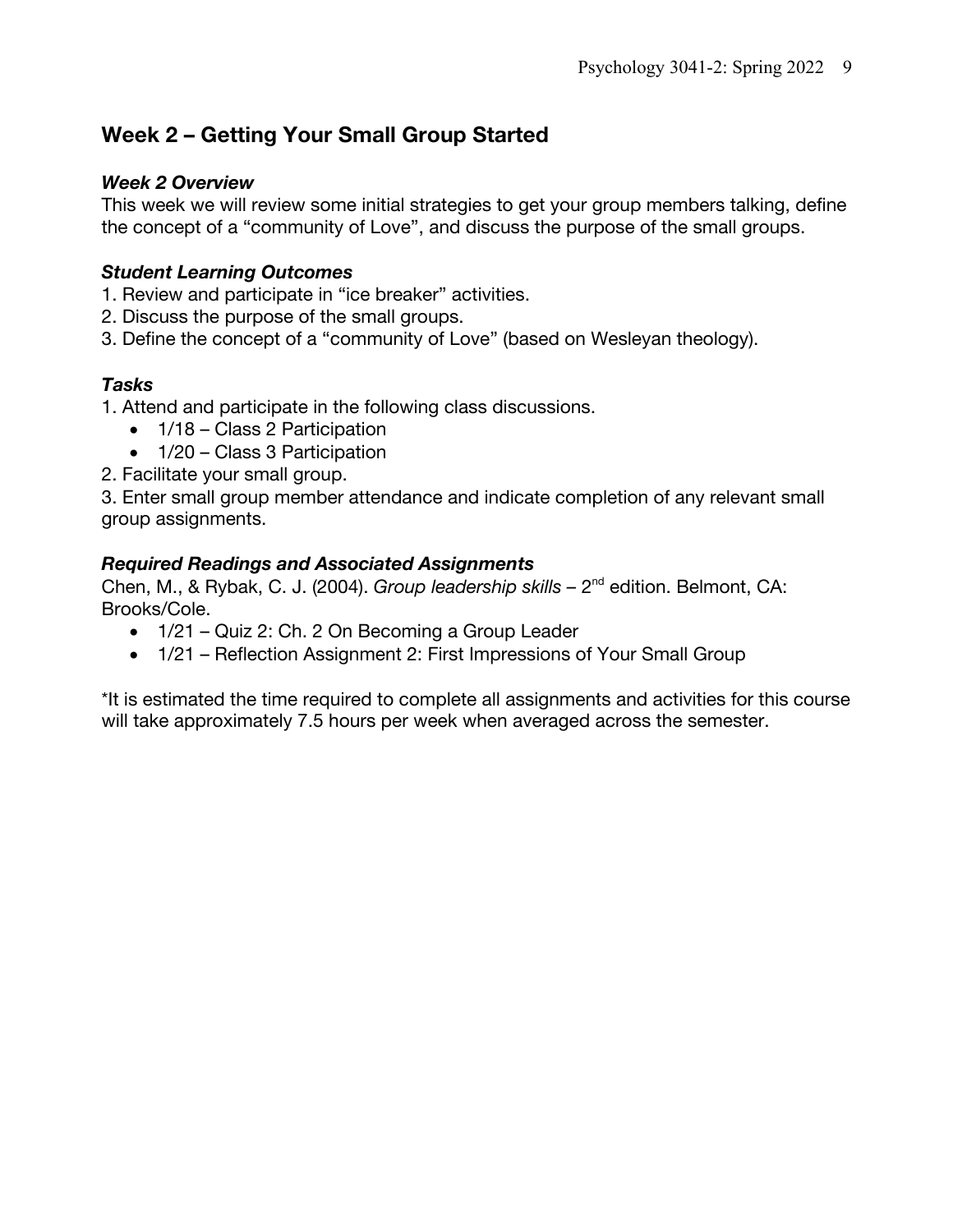## **Week 2 – Getting Your Small Group Started**

#### *Week 2 Overview*

This week we will review some initial strategies to get your group members talking, define the concept of a "community of Love", and discuss the purpose of the small groups.

### *Student Learning Outcomes*

- 1. Review and participate in "ice breaker" activities.
- 2. Discuss the purpose of the small groups.
- 3. Define the concept of a "community of Love" (based on Wesleyan theology).

### *Tasks*

1. Attend and participate in the following class discussions.

- 1/18 Class 2 Participation
- 1/20 Class 3 Participation
- 2. Facilitate your small group.

3. Enter small group member attendance and indicate completion of any relevant small group assignments.

### *Required Readings and Associated Assignments*

Chen, M., & Rybak, C. J. (2004). *Group leadership skills –* 2nd edition. Belmont, CA: Brooks/Cole.

- 1/21 Quiz 2: Ch. 2 On Becoming a Group Leader
- 1/21 Reflection Assignment 2: First Impressions of Your Small Group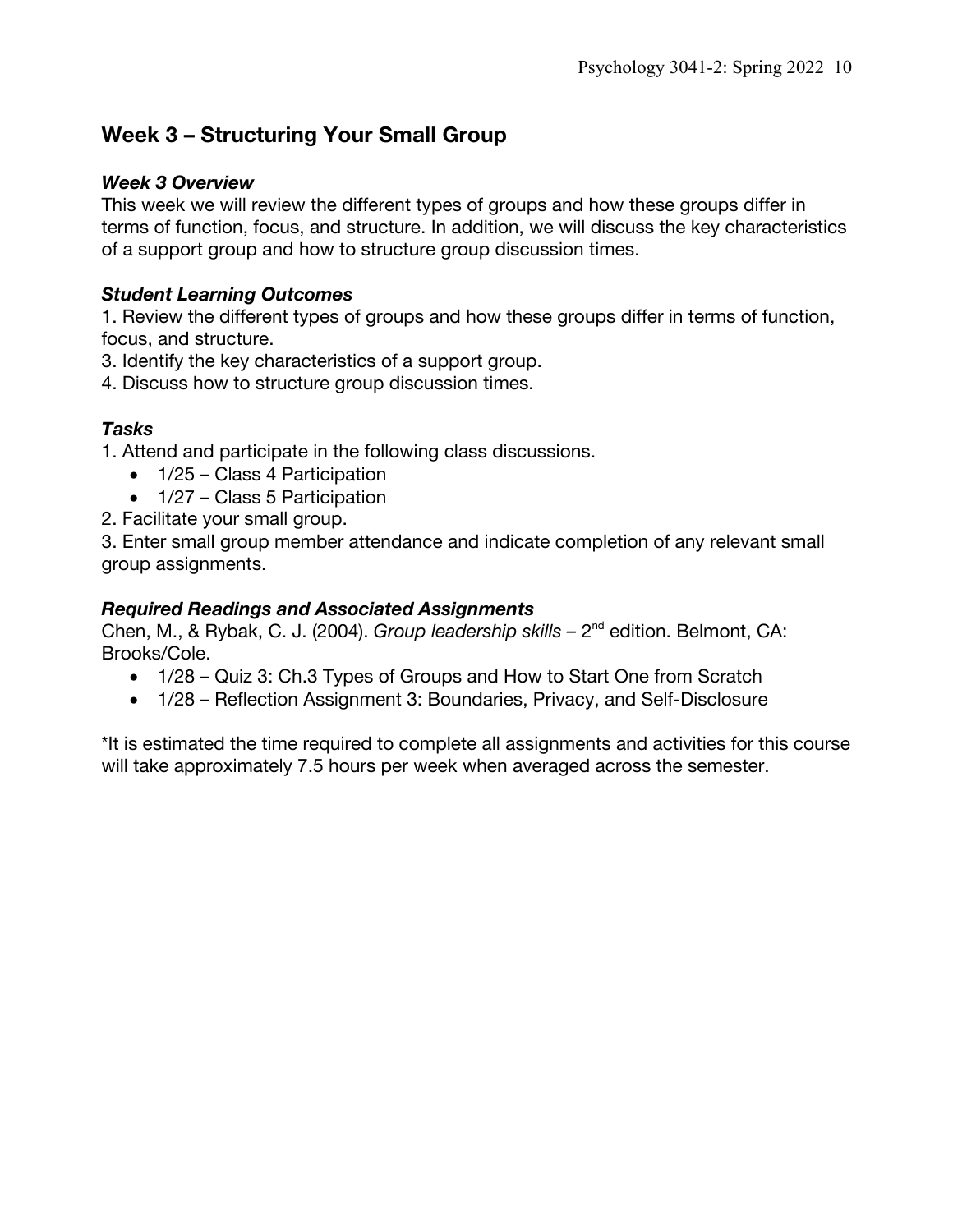## **Week 3 – Structuring Your Small Group**

#### *Week 3 Overview*

This week we will review the different types of groups and how these groups differ in terms of function, focus, and structure. In addition, we will discuss the key characteristics of a support group and how to structure group discussion times.

### *Student Learning Outcomes*

1. Review the different types of groups and how these groups differ in terms of function, focus, and structure.

3. Identify the key characteristics of a support group.

4. Discuss how to structure group discussion times.

### *Tasks*

1. Attend and participate in the following class discussions.

- 1/25 Class 4 Participation
- 1/27 Class 5 Participation
- 2. Facilitate your small group.

3. Enter small group member attendance and indicate completion of any relevant small group assignments.

### *Required Readings and Associated Assignments*

Chen, M., & Rybak, C. J. (2004). *Group leadership skills –* 2nd edition. Belmont, CA: Brooks/Cole.

- 1/28 Quiz 3: Ch.3 Types of Groups and How to Start One from Scratch
- 1/28 Reflection Assignment 3: Boundaries, Privacy, and Self-Disclosure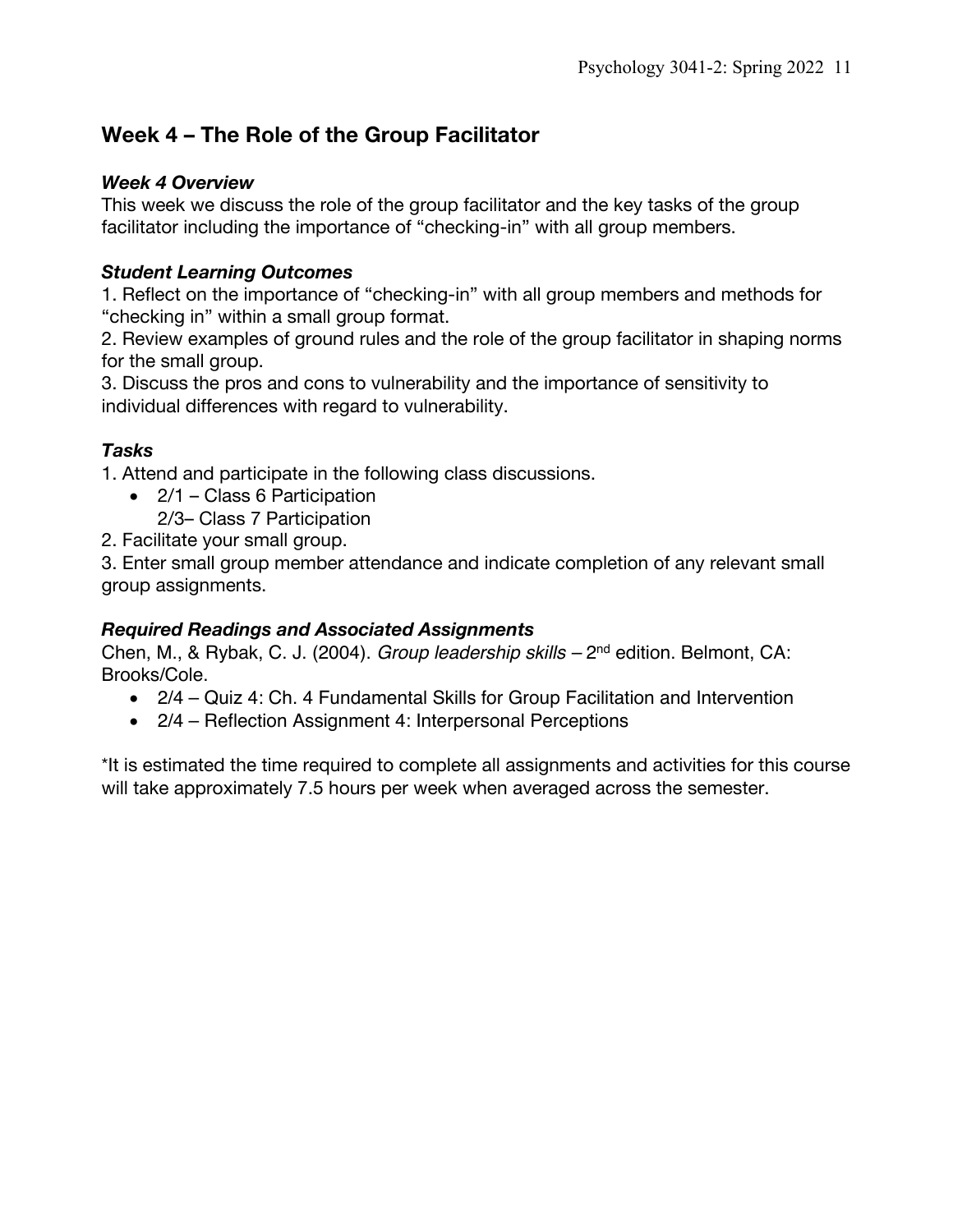## **Week 4 – The Role of the Group Facilitator**

### *Week 4 Overview*

This week we discuss the role of the group facilitator and the key tasks of the group facilitator including the importance of "checking-in" with all group members.

### *Student Learning Outcomes*

1. Reflect on the importance of "checking-in" with all group members and methods for "checking in" within a small group format.

2. Review examples of ground rules and the role of the group facilitator in shaping norms for the small group.

3. Discuss the pros and cons to vulnerability and the importance of sensitivity to individual differences with regard to vulnerability.

### *Tasks*

1. Attend and participate in the following class discussions.

- 2/1 Class 6 Participation 2/3– Class 7 Participation
- 2. Facilitate your small group.

3. Enter small group member attendance and indicate completion of any relevant small group assignments.

### *Required Readings and Associated Assignments*

Chen, M., & Rybak, C. J. (2004). *Group leadership skills –* 2nd edition. Belmont, CA: Brooks/Cole.

- 2/4 Quiz 4: Ch. 4 Fundamental Skills for Group Facilitation and Intervention
- 2/4 Reflection Assignment 4: Interpersonal Perceptions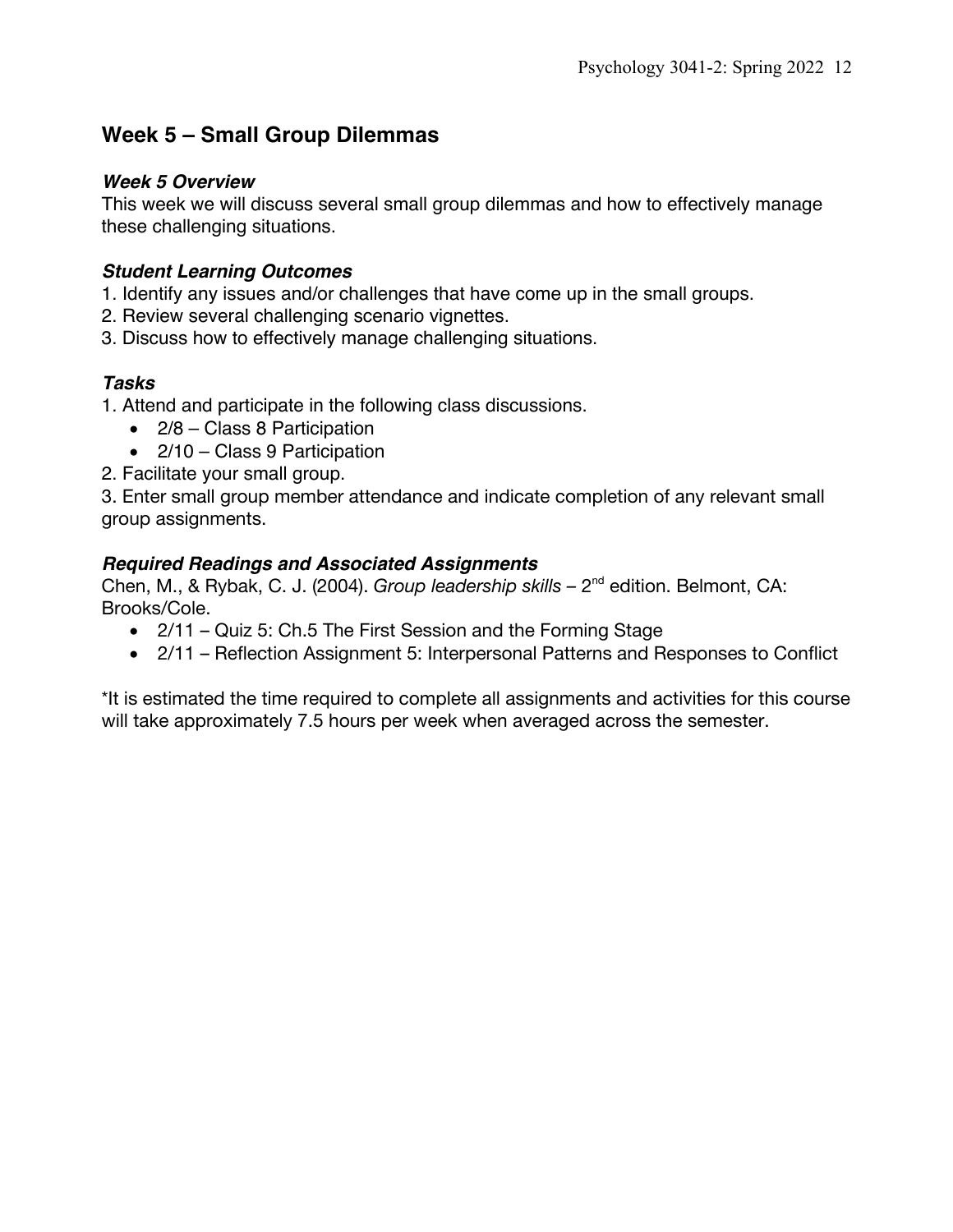## **Week 5 – Small Group Dilemmas**

#### *Week 5 Overview*

This week we will discuss several small group dilemmas and how to effectively manage these challenging situations.

### *Student Learning Outcomes*

- 1. Identify any issues and/or challenges that have come up in the small groups.
- 2. Review several challenging scenario vignettes.
- 3. Discuss how to effectively manage challenging situations.

### *Tasks*

- 1. Attend and participate in the following class discussions.
	- 2/8 Class 8 Participation
	- 2/10 Class 9 Participation
- 2. Facilitate your small group.

3. Enter small group member attendance and indicate completion of any relevant small group assignments.

### *Required Readings and Associated Assignments*

Chen, M., & Rybak, C. J. (2004). *Group leadership skills –* 2nd edition. Belmont, CA: Brooks/Cole.

- 2/11 Quiz 5: Ch.5 The First Session and the Forming Stage
- 2/11 Reflection Assignment 5: Interpersonal Patterns and Responses to Conflict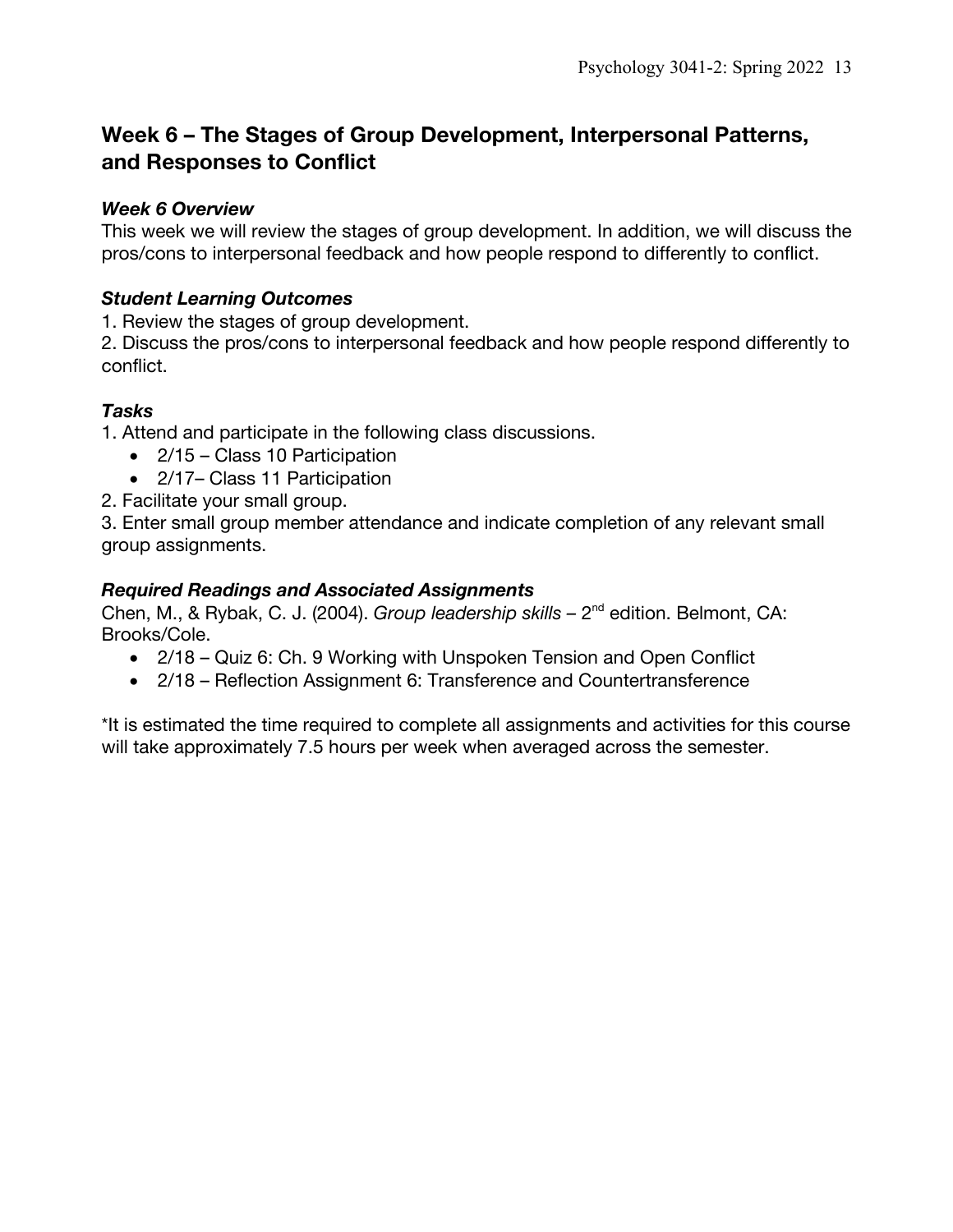## **Week 6 – The Stages of Group Development, Interpersonal Patterns, and Responses to Conflict**

#### *Week 6 Overview*

This week we will review the stages of group development. In addition, we will discuss the pros/cons to interpersonal feedback and how people respond to differently to conflict.

### *Student Learning Outcomes*

1. Review the stages of group development.

2. Discuss the pros/cons to interpersonal feedback and how people respond differently to conflict.

### *Tasks*

1. Attend and participate in the following class discussions.

- 2/15 Class 10 Participation
- 2/17– Class 11 Participation

2. Facilitate your small group.

3. Enter small group member attendance and indicate completion of any relevant small group assignments.

### *Required Readings and Associated Assignments*

Chen, M., & Rybak, C. J. (2004). *Group leadership skills –* 2nd edition. Belmont, CA: Brooks/Cole.

- 2/18 Quiz 6: Ch. 9 Working with Unspoken Tension and Open Conflict
- 2/18 Reflection Assignment 6: Transference and Countertransference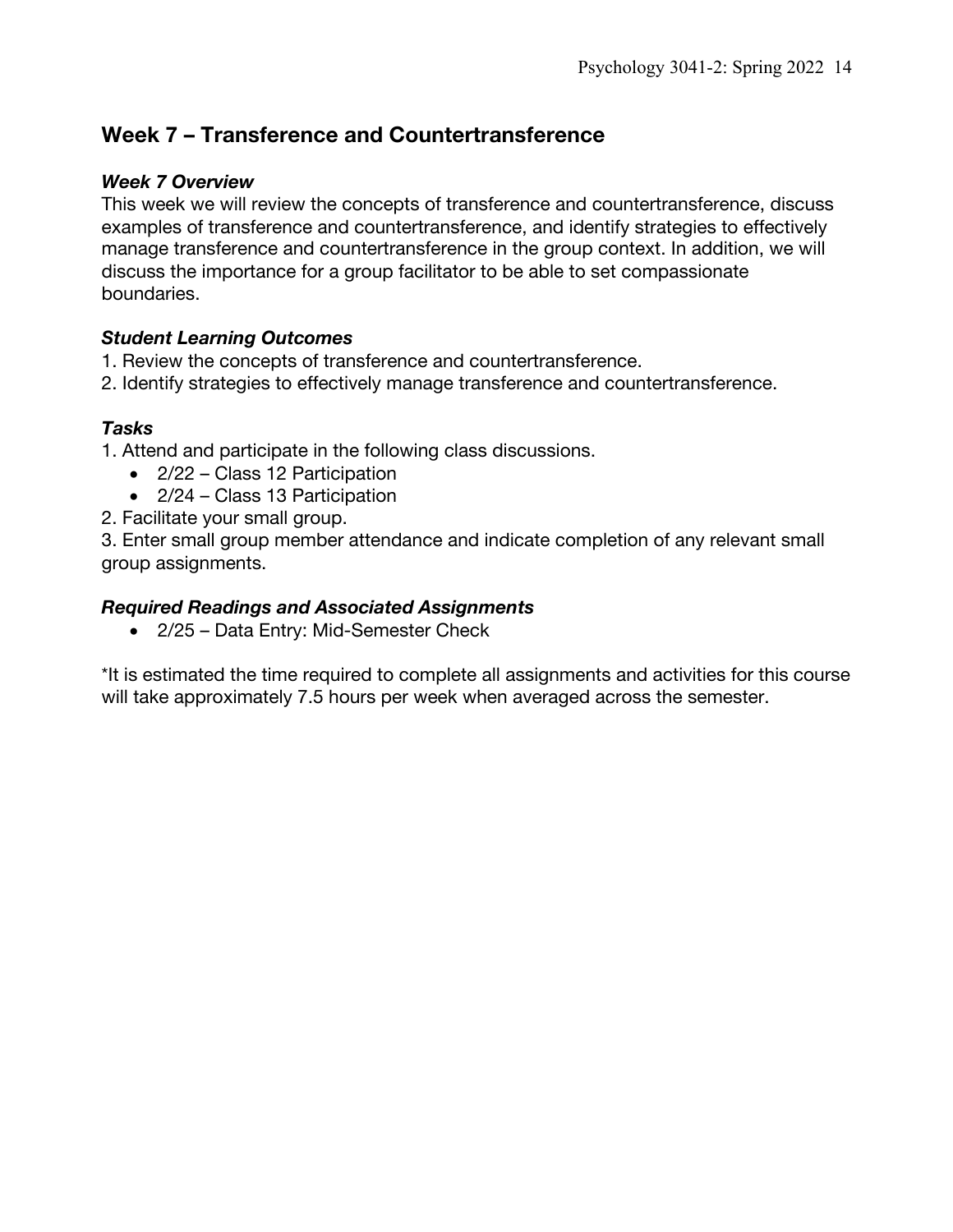## **Week 7 – Transference and Countertransference**

#### *Week 7 Overview*

This week we will review the concepts of transference and countertransference, discuss examples of transference and countertransference, and identify strategies to effectively manage transference and countertransference in the group context. In addition, we will discuss the importance for a group facilitator to be able to set compassionate boundaries.

#### *Student Learning Outcomes*

- 1. Review the concepts of transference and countertransference.
- 2. Identify strategies to effectively manage transference and countertransference.

#### *Tasks*

- 1. Attend and participate in the following class discussions.
	- 2/22 Class 12 Participation
	- 2/24 Class 13 Participation
- 2. Facilitate your small group.

3. Enter small group member attendance and indicate completion of any relevant small group assignments.

#### *Required Readings and Associated Assignments*

• 2/25 – Data Entry: Mid-Semester Check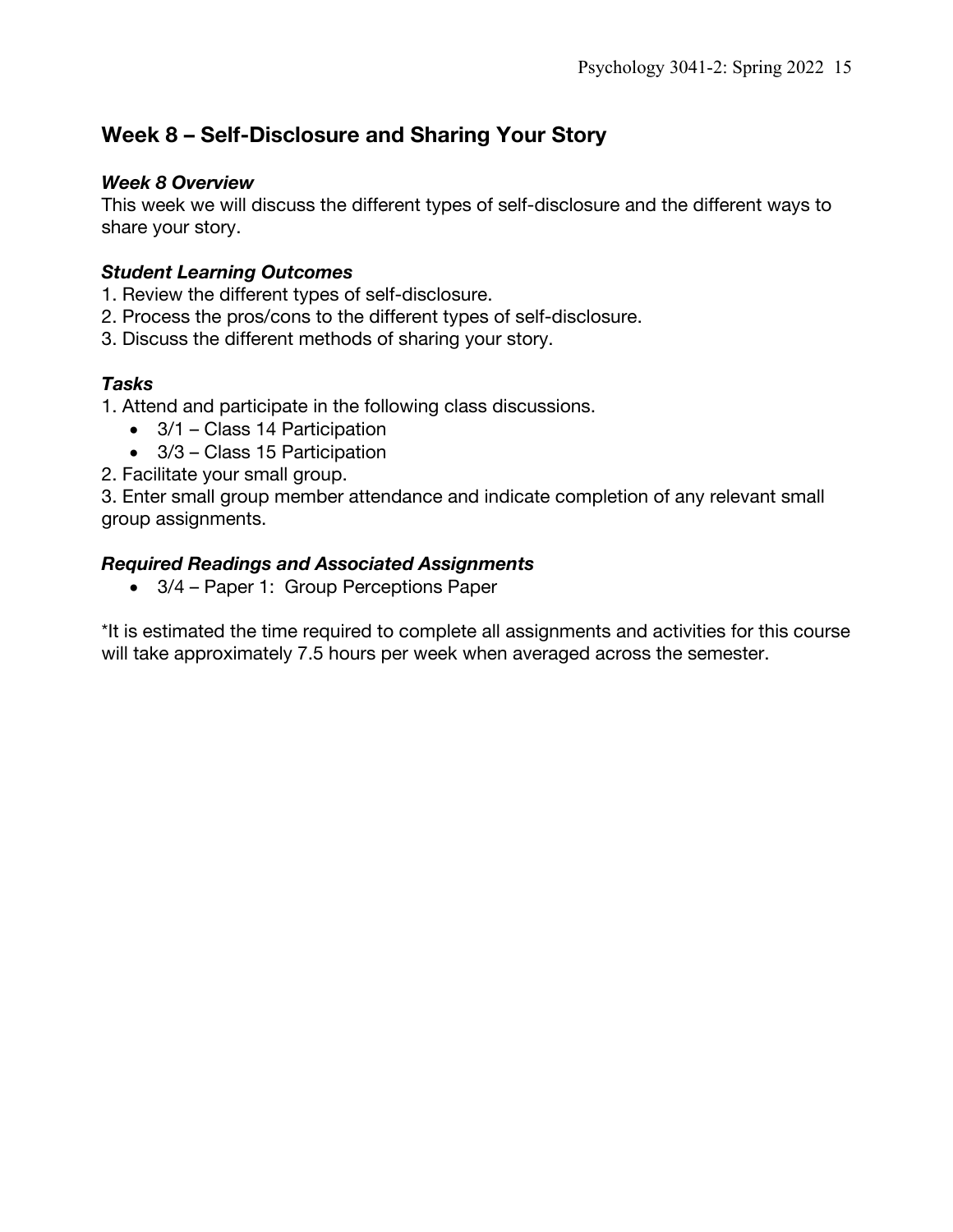## **Week 8 – Self-Disclosure and Sharing Your Story**

#### *Week 8 Overview*

This week we will discuss the different types of self-disclosure and the different ways to share your story.

### *Student Learning Outcomes*

- 1. Review the different types of self-disclosure.
- 2. Process the pros/cons to the different types of self-disclosure.
- 3. Discuss the different methods of sharing your story.

### *Tasks*

1. Attend and participate in the following class discussions.

- 3/1 Class 14 Participation
- 3/3 Class 15 Participation
- 2. Facilitate your small group.

3. Enter small group member attendance and indicate completion of any relevant small group assignments.

### *Required Readings and Associated Assignments*

• 3/4 – Paper 1: Group Perceptions Paper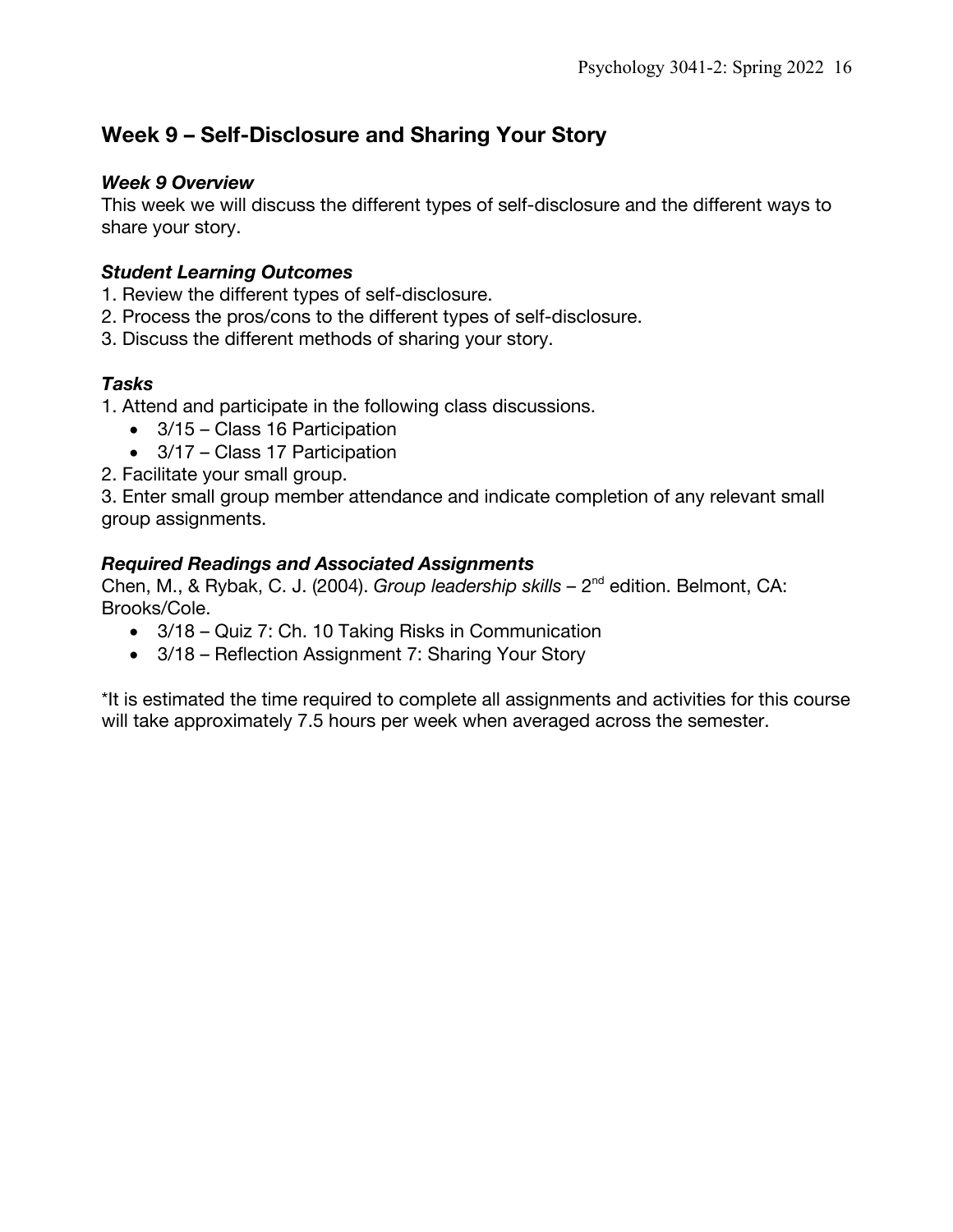## **Week 9 – Self-Disclosure and Sharing Your Story**

#### *Week 9 Overview*

This week we will discuss the different types of self-disclosure and the different ways to share your story.

### *Student Learning Outcomes*

- 1. Review the different types of self-disclosure.
- 2. Process the pros/cons to the different types of self-disclosure.
- 3. Discuss the different methods of sharing your story.

### *Tasks*

1. Attend and participate in the following class discussions.

- 3/15 Class 16 Participation
- 3/17 Class 17 Participation
- 2. Facilitate your small group.

3. Enter small group member attendance and indicate completion of any relevant small group assignments.

### *Required Readings and Associated Assignments*

Chen, M., & Rybak, C. J. (2004). *Group leadership skills –* 2nd edition. Belmont, CA: Brooks/Cole.

- 3/18 Quiz 7: Ch. 10 Taking Risks in Communication
- 3/18 Reflection Assignment 7: Sharing Your Story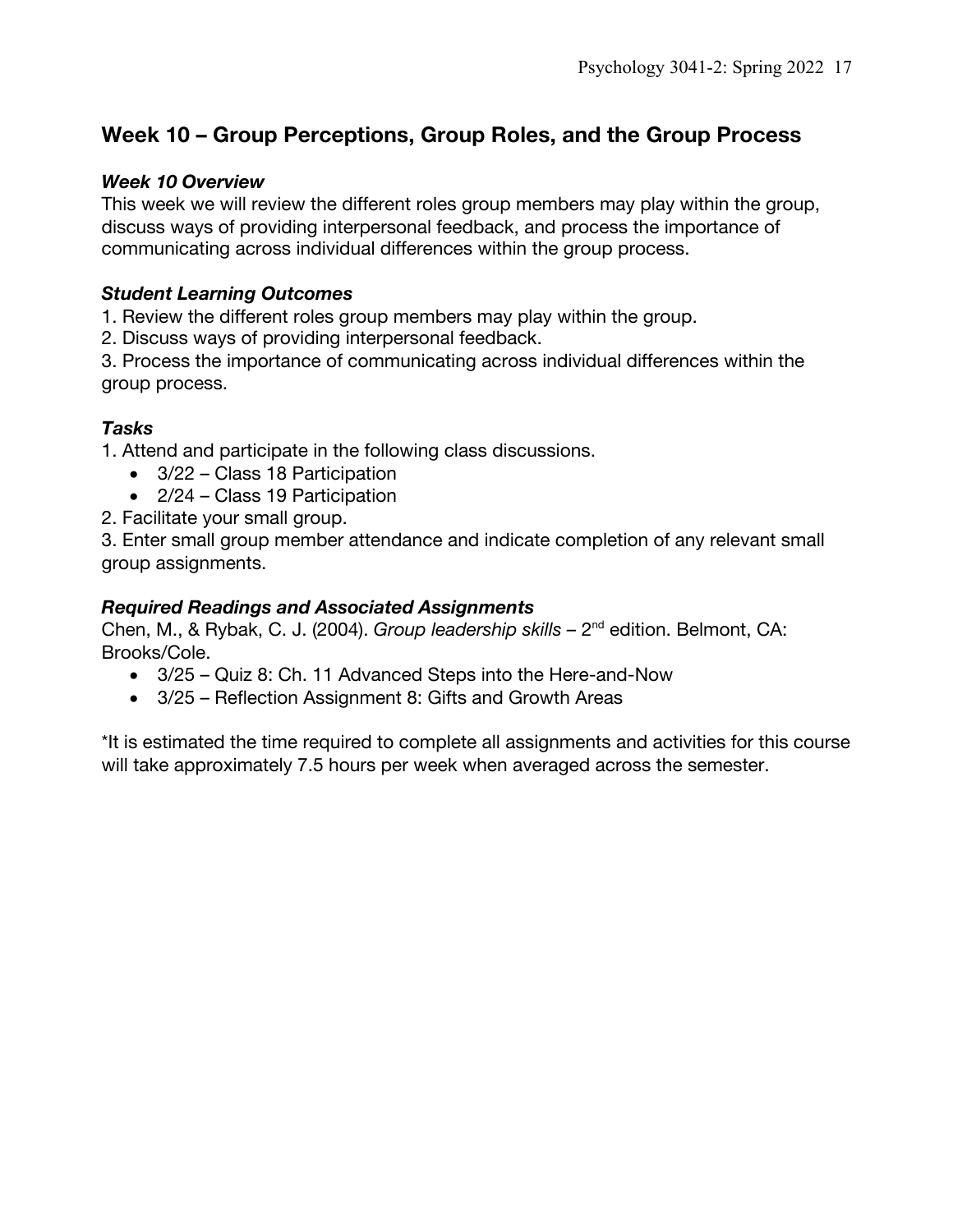## **Week 10 – Group Perceptions, Group Roles, and the Group Process**

#### *Week 10 Overview*

This week we will review the different roles group members may play within the group, discuss ways of providing interpersonal feedback, and process the importance of communicating across individual differences within the group process.

#### *Student Learning Outcomes*

1. Review the different roles group members may play within the group.

2. Discuss ways of providing interpersonal feedback.

3. Process the importance of communicating across individual differences within the group process.

### *Tasks*

1. Attend and participate in the following class discussions.

- 3/22 Class 18 Participation
- 2/24 Class 19 Participation
- 2. Facilitate your small group.

3. Enter small group member attendance and indicate completion of any relevant small group assignments.

#### *Required Readings and Associated Assignments*

Chen, M., & Rybak, C. J. (2004). *Group leadership skills –* 2nd edition. Belmont, CA: Brooks/Cole.

- 3/25 Quiz 8: Ch. 11 Advanced Steps into the Here-and-Now
- 3/25 Reflection Assignment 8: Gifts and Growth Areas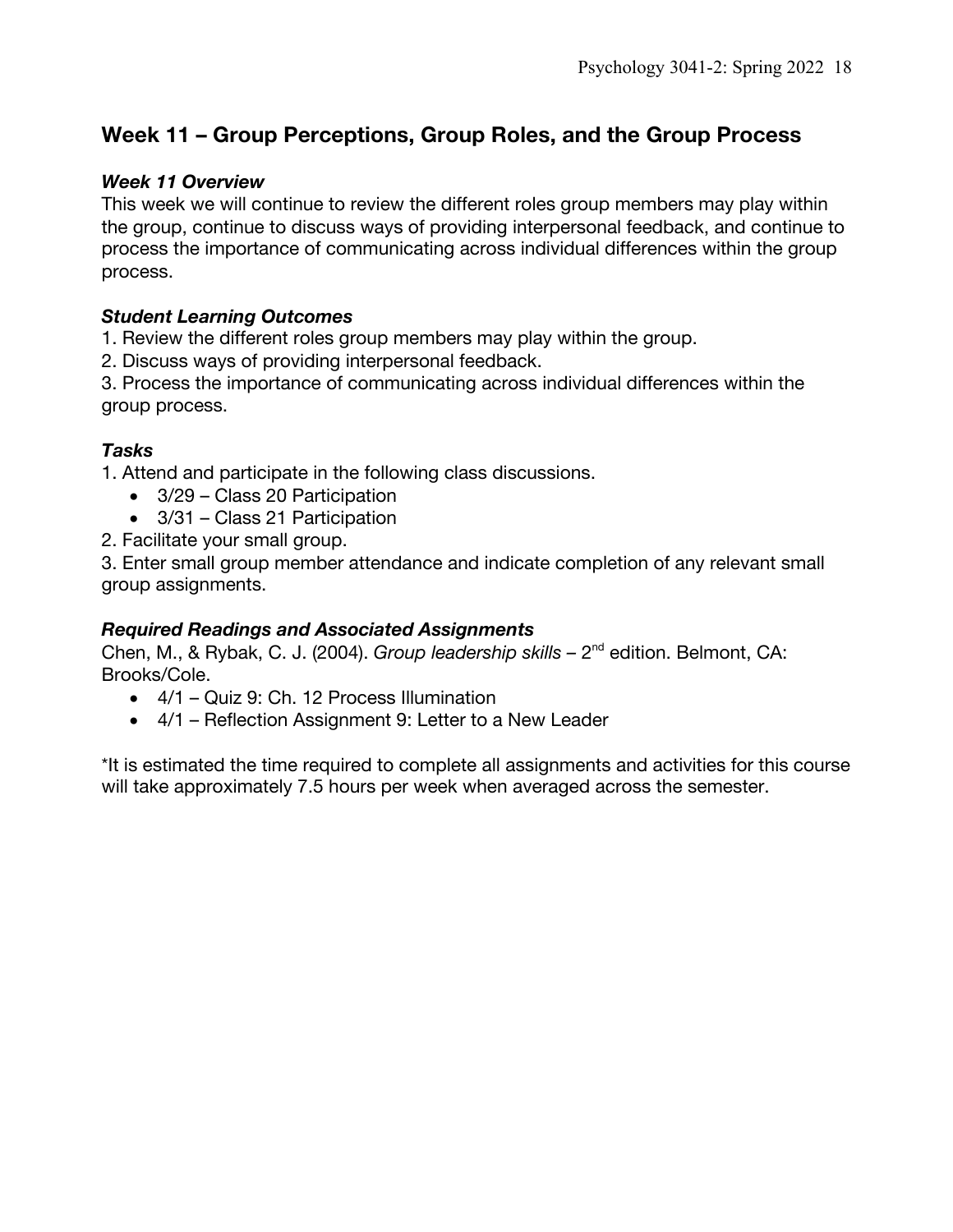## **Week 11 – Group Perceptions, Group Roles, and the Group Process**

#### *Week 11 Overview*

This week we will continue to review the different roles group members may play within the group, continue to discuss ways of providing interpersonal feedback, and continue to process the importance of communicating across individual differences within the group process.

#### *Student Learning Outcomes*

1. Review the different roles group members may play within the group.

2. Discuss ways of providing interpersonal feedback.

3. Process the importance of communicating across individual differences within the group process.

### *Tasks*

1. Attend and participate in the following class discussions.

- 3/29 Class 20 Participation
- 3/31 Class 21 Participation
- 2. Facilitate your small group.

3. Enter small group member attendance and indicate completion of any relevant small group assignments.

#### *Required Readings and Associated Assignments*

Chen, M., & Rybak, C. J. (2004). *Group leadership skills –* 2nd edition. Belmont, CA: Brooks/Cole.

- 4/1 Quiz 9: Ch. 12 Process Illumination
- 4/1 Reflection Assignment 9: Letter to a New Leader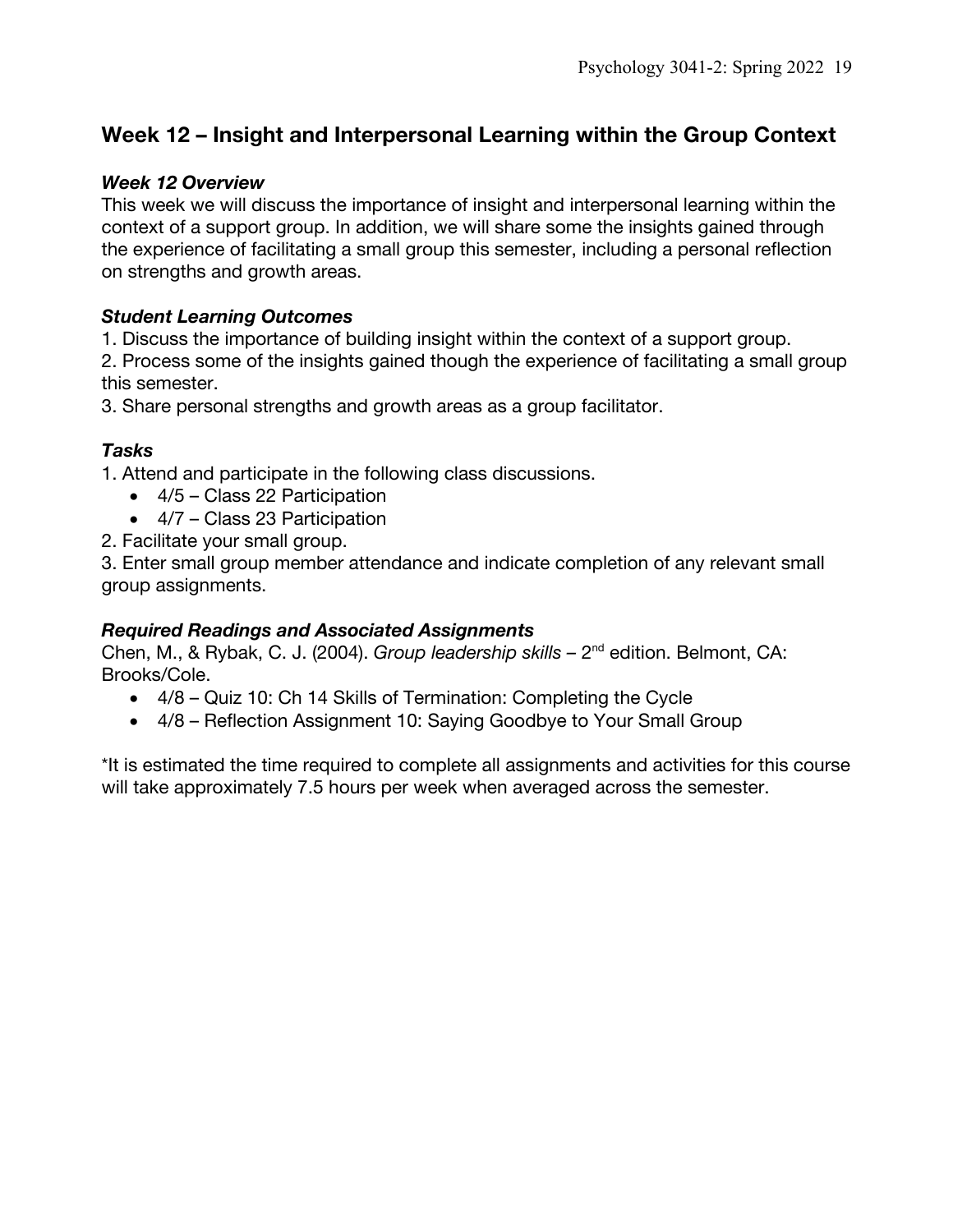## **Week 12 – Insight and Interpersonal Learning within the Group Context**

#### *Week 12 Overview*

This week we will discuss the importance of insight and interpersonal learning within the context of a support group. In addition, we will share some the insights gained through the experience of facilitating a small group this semester, including a personal reflection on strengths and growth areas.

#### *Student Learning Outcomes*

1. Discuss the importance of building insight within the context of a support group.

2. Process some of the insights gained though the experience of facilitating a small group this semester.

3. Share personal strengths and growth areas as a group facilitator.

### *Tasks*

1. Attend and participate in the following class discussions.

- 4/5 Class 22 Participation
- 4/7 Class 23 Participation
- 2. Facilitate your small group.

3. Enter small group member attendance and indicate completion of any relevant small group assignments.

### *Required Readings and Associated Assignments*

Chen, M., & Rybak, C. J. (2004). *Group leadership skills –* 2nd edition. Belmont, CA: Brooks/Cole.

- 4/8 Quiz 10: Ch 14 Skills of Termination: Completing the Cycle
- 4/8 Reflection Assignment 10: Saying Goodbye to Your Small Group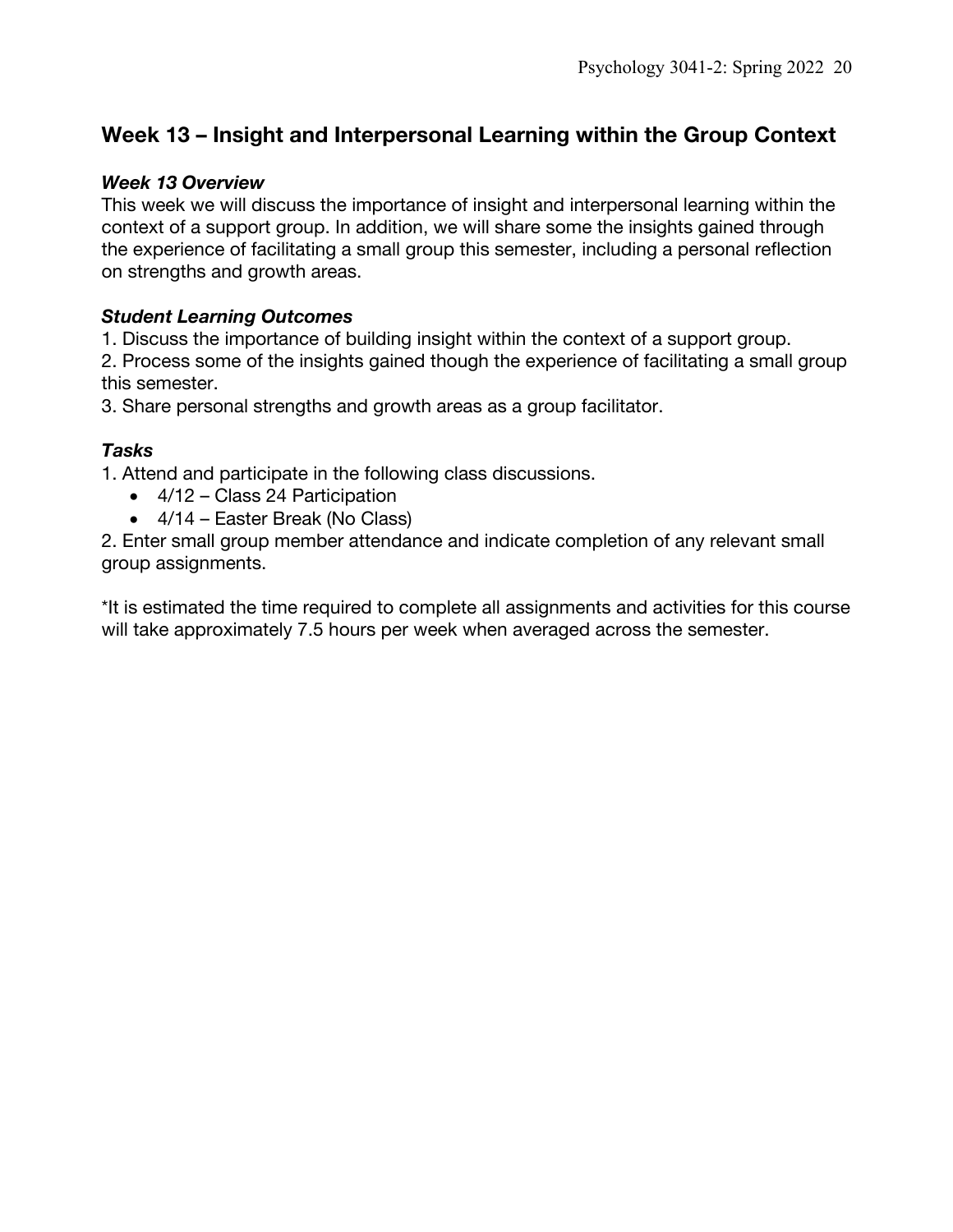## **Week 13 – Insight and Interpersonal Learning within the Group Context**

#### *Week 13 Overview*

This week we will discuss the importance of insight and interpersonal learning within the context of a support group. In addition, we will share some the insights gained through the experience of facilitating a small group this semester, including a personal reflection on strengths and growth areas.

#### *Student Learning Outcomes*

1. Discuss the importance of building insight within the context of a support group.

2. Process some of the insights gained though the experience of facilitating a small group this semester.

3. Share personal strengths and growth areas as a group facilitator.

### *Tasks*

1. Attend and participate in the following class discussions.

- 4/12 Class 24 Participation
- 4/14 Easter Break (No Class)

2. Enter small group member attendance and indicate completion of any relevant small group assignments.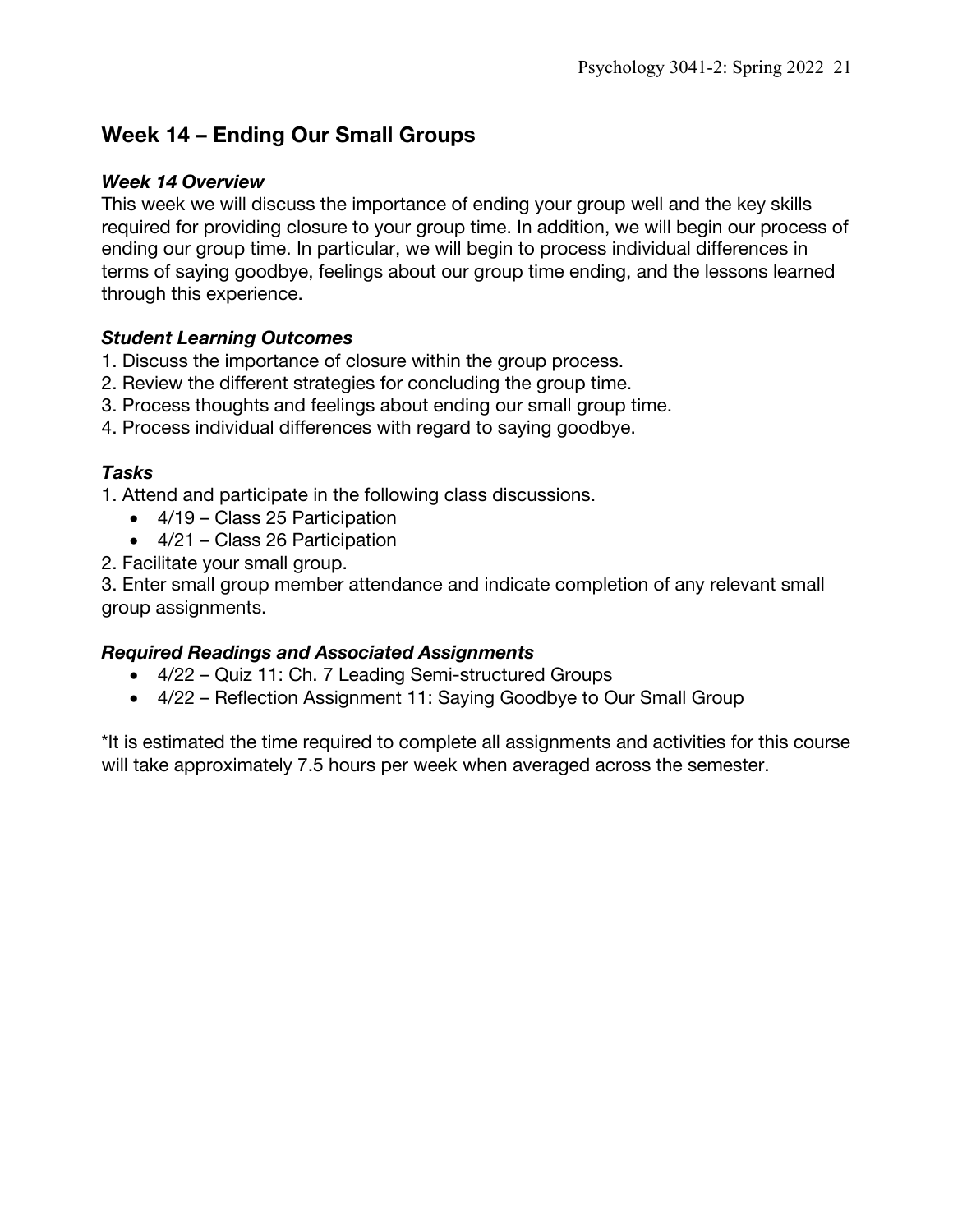## **Week 14 – Ending Our Small Groups**

#### *Week 14 Overview*

This week we will discuss the importance of ending your group well and the key skills required for providing closure to your group time. In addition, we will begin our process of ending our group time. In particular, we will begin to process individual differences in terms of saying goodbye, feelings about our group time ending, and the lessons learned through this experience.

### *Student Learning Outcomes*

- 1. Discuss the importance of closure within the group process.
- 2. Review the different strategies for concluding the group time.
- 3. Process thoughts and feelings about ending our small group time.
- 4. Process individual differences with regard to saying goodbye.

### *Tasks*

1. Attend and participate in the following class discussions.

- 4/19 Class 25 Participation
- 4/21 Class 26 Participation
- 2. Facilitate your small group.

3. Enter small group member attendance and indicate completion of any relevant small group assignments.

### *Required Readings and Associated Assignments*

- 4/22 Quiz 11: Ch. 7 Leading Semi-structured Groups
- 4/22 Reflection Assignment 11: Saying Goodbye to Our Small Group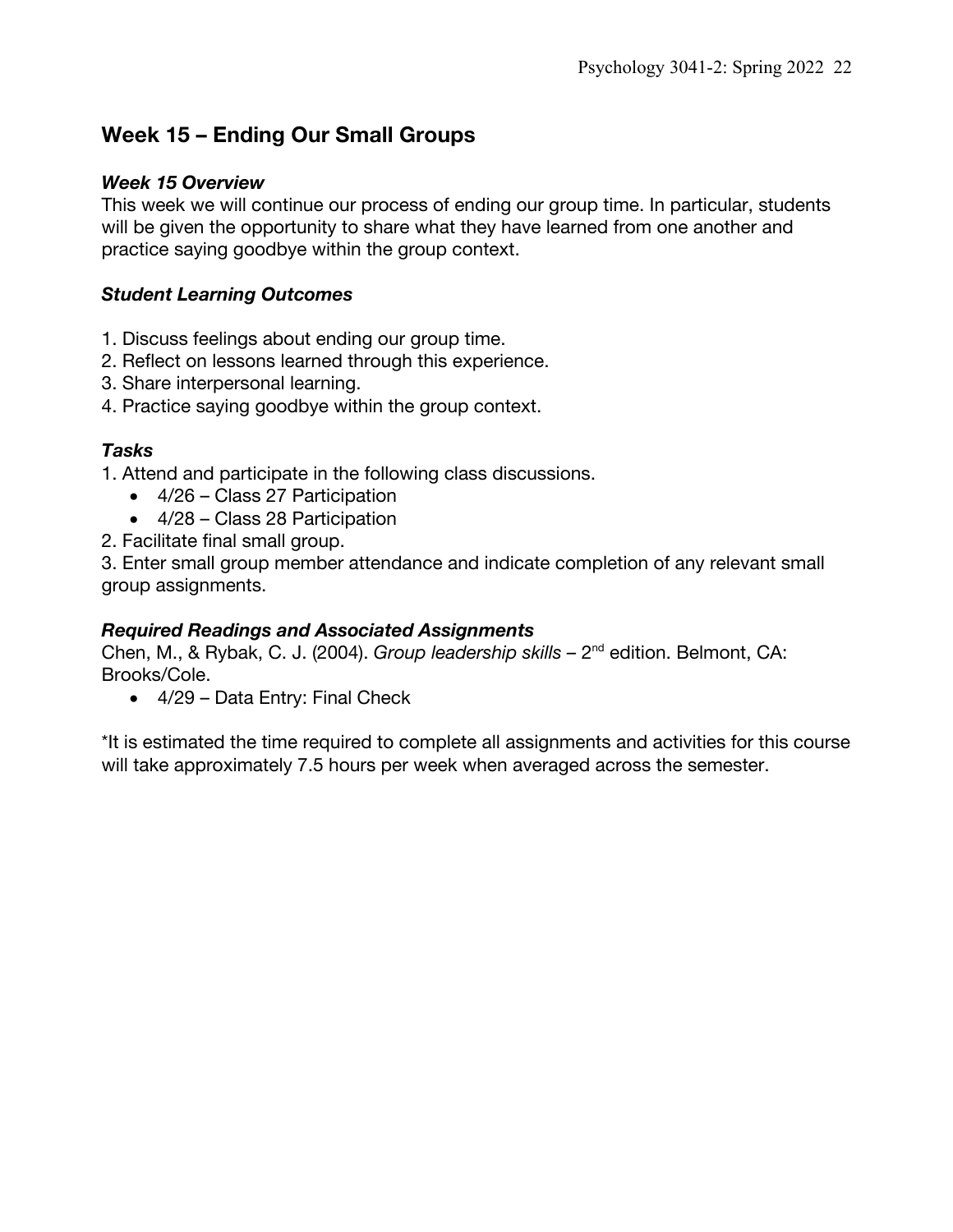## **Week 15 – Ending Our Small Groups**

#### *Week 15 Overview*

This week we will continue our process of ending our group time. In particular, students will be given the opportunity to share what they have learned from one another and practice saying goodbye within the group context.

### *Student Learning Outcomes*

- 1. Discuss feelings about ending our group time.
- 2. Reflect on lessons learned through this experience.
- 3. Share interpersonal learning.
- 4. Practice saying goodbye within the group context.

#### *Tasks*

1. Attend and participate in the following class discussions.

- 4/26 Class 27 Participation
- 4/28 Class 28 Participation
- 2. Facilitate final small group.

3. Enter small group member attendance and indicate completion of any relevant small group assignments.

### *Required Readings and Associated Assignments*

Chen, M., & Rybak, C. J. (2004). *Group leadership skills –* 2nd edition. Belmont, CA: Brooks/Cole.

• 4/29 – Data Entry: Final Check